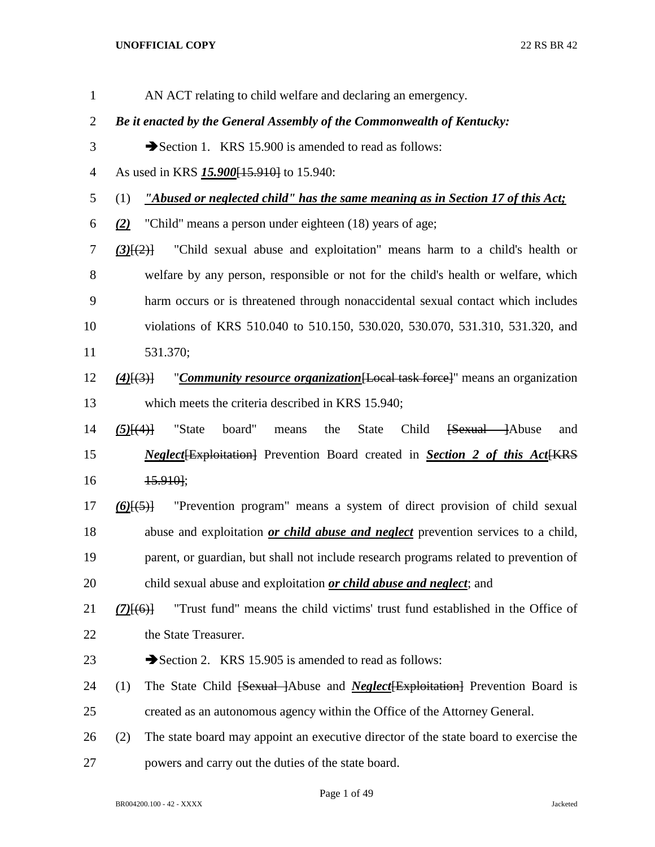AN ACT relating to child welfare and declaring an emergency. *Be it enacted by the General Assembly of the Commonwealth of Kentucky:* 3 Section 1. KRS 15.900 is amended to read as follows: As used in KRS *15.900*[15.910] to 15.940: (1) *"Abused or neglected child" has the same meaning as in Section 17 of this Act; (2)* "Child" means a person under eighteen (18) years of age; *(3)*[(2)] "Child sexual abuse and exploitation" means harm to a child's health or welfare by any person, responsible or not for the child's health or welfare, which harm occurs or is threatened through nonaccidental sexual contact which includes violations of KRS 510.040 to 510.150, 530.020, 530.070, 531.310, 531.320, and 531.370; *(4)*[(3)] "*Community resource organization*[Local task force]" means an organization which meets the criteria described in KRS 15.940; *(5)*[(4)] "State board" means the State Child [Sexual ]Abuse and *Neglect* Exploitation Prevention Board created in *Section 2 of this Act* EXP. 15.910]; *(6)*[(5)] "Prevention program" means a system of direct provision of child sexual abuse and exploitation *or child abuse and neglect* prevention services to a child, parent, or guardian, but shall not include research programs related to prevention of child sexual abuse and exploitation *or child abuse and neglect*; and *(7)*[(6)] "Trust fund" means the child victims' trust fund established in the Office of 22 the State Treasurer. 23 Section 2. KRS 15.905 is amended to read as follows: (1) The State Child [Sexual ]Abuse and *Neglect*[Exploitation] Prevention Board is created as an autonomous agency within the Office of the Attorney General. (2) The state board may appoint an executive director of the state board to exercise the powers and carry out the duties of the state board.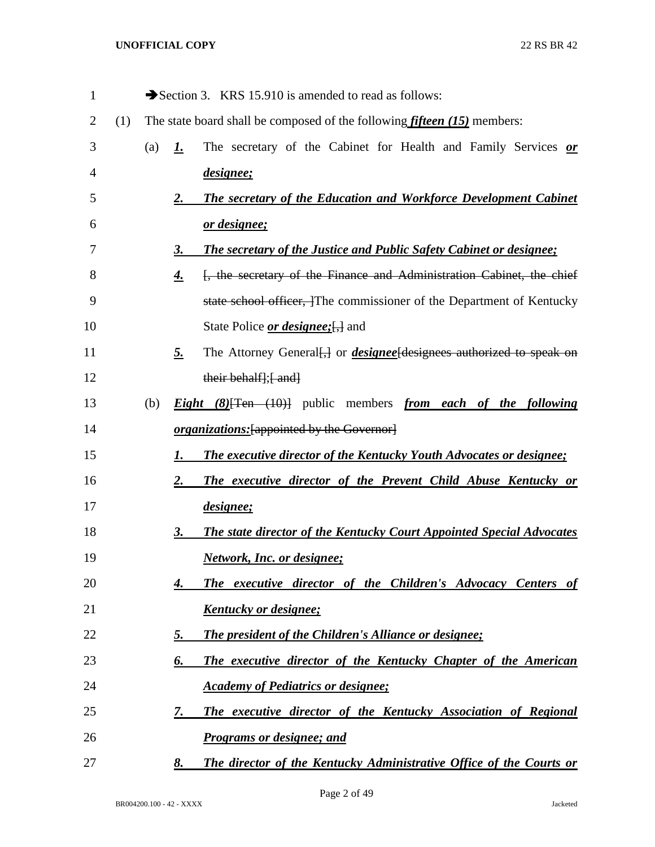| 1  |     |     |           | Section 3. KRS 15.910 is amended to read as follows:                                      |
|----|-----|-----|-----------|-------------------------------------------------------------------------------------------|
| 2  | (1) |     |           | The state board shall be composed of the following <i>fifteen</i> $(15)$ members:         |
| 3  |     | (a) | <u>1.</u> | The secretary of the Cabinet for Health and Family Services or                            |
| 4  |     |     |           | <i>designee</i> ;                                                                         |
| 5  |     |     | <u>2.</u> | The secretary of the Education and Workforce Development Cabinet                          |
| 6  |     |     |           | <u>or designee;</u>                                                                       |
| 7  |     |     | 3.        | <b>The secretary of the Justice and Public Safety Cabinet or designee;</b>                |
| 8  |     |     | <u>4.</u> | [, the secretary of the Finance and Administration Cabinet, the chief                     |
| 9  |     |     |           | state school officer, The commissioner of the Department of Kentucky                      |
| 10 |     |     |           | State Police <i>or designee</i> ; [, ] and                                                |
| 11 |     |     | <u>5.</u> | The Attorney General. or <i>designee</i> designees authorized to speak on                 |
| 12 |     |     |           | their behalf]; { and }                                                                    |
| 13 |     | (b) |           | <i>Eight</i> $(8)$ <sup>[Ten (10)] public members <i>from each of the following</i></sup> |
| 14 |     |     |           | <i>organizations:</i> [appointed by the Governor]                                         |
| 15 |     |     | 1.        | <b>The executive director of the Kentucky Youth Advocates or designee;</b>                |
| 16 |     |     | <u>2.</u> | The executive director of the Prevent Child Abuse Kentucky or                             |
| 17 |     |     |           | <i>designee</i> ;                                                                         |
| 18 |     |     | <u>3.</u> | <b>The state director of the Kentucky Court Appointed Special Advocates</b>               |
| 19 |     |     |           | <b>Network, Inc. or designee;</b>                                                         |
| 20 |     |     | 4.        | The executive director of the Children's Advocacy Centers of                              |
| 21 |     |     |           | <u>Kentucky or designee;</u>                                                              |
| 22 |     |     | <u>5.</u> | The president of the Children's Alliance or designee;                                     |
| 23 |     |     | 6.        | The executive director of the Kentucky Chapter of the American                            |
| 24 |     |     |           | <b>Academy of Pediatrics or designee;</b>                                                 |
| 25 |     |     | 7.        | The executive director of the Kentucky Association of Regional                            |
| 26 |     |     |           | <b>Programs or designee; and</b>                                                          |
| 27 |     |     | 8.        | The director of the Kentucky Administrative Office of the Courts or                       |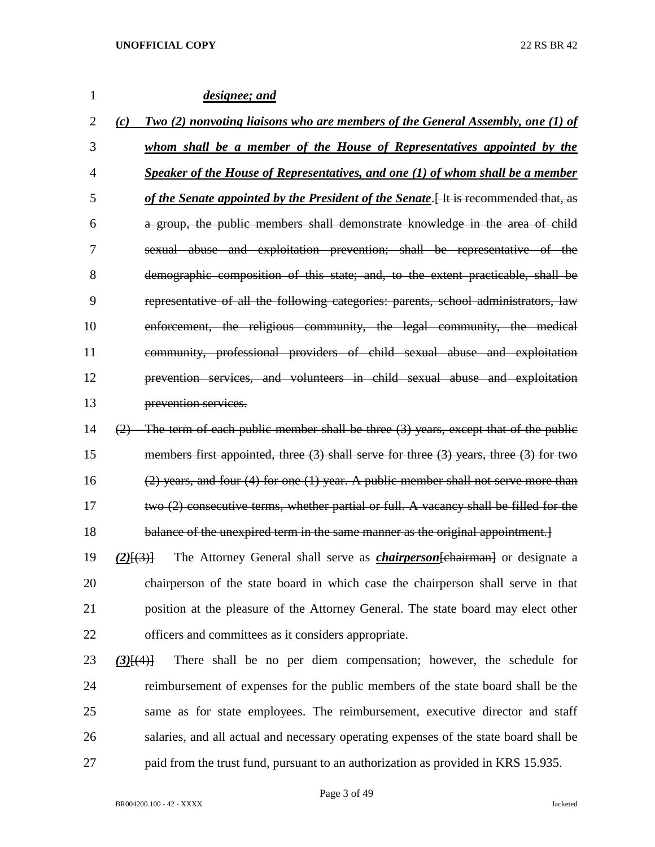| 1              | designee; and                                                                                   |
|----------------|-------------------------------------------------------------------------------------------------|
| 2              | Two (2) nonvoting liaisons who are members of the General Assembly, one (1) of<br>(c)           |
| 3              | whom shall be a member of the House of Representatives appointed by the                         |
| $\overline{4}$ | Speaker of the House of Representatives, and one (1) of whom shall be a member                  |
| 5              | of the Senate appointed by the President of the Senate [4] It is recommended that, as           |
| 6              | a group, the public members shall demonstrate knowledge in the area of child                    |
| 7              | sexual abuse and exploitation prevention; shall be representative of the                        |
| 8              | demographic composition of this state; and, to the extent practicable, shall be                 |
| 9              | representative of all the following categories: parents, school administrators, law             |
| 10             | enforcement, the religious community, the legal community, the medical                          |
| 11             | community, professional providers of child sexual abuse and exploitation                        |
| 12             | prevention services, and volunteers in child sexual abuse and exploitation                      |
| 13             | prevention services.                                                                            |
| 14             | $(2)$ The term of each public member shall be three $(3)$ years, except that of the public      |
| 15             | members first appointed, three $(3)$ shall serve for three $(3)$ years, three $(3)$ for two     |
| 16             | $(2)$ years, and four $(4)$ for one $(1)$ year. A public member shall not serve more than       |
| 17             | two (2) consecutive terms, whether partial or full. A vacancy shall be filled for the           |
| 18             | balance of the unexpired term in the same manner as the original appointment.                   |
| 19             | The Attorney General shall serve as <i>chairperson</i> [chairman] or designate a<br>$(2)$ $(3)$ |
| 20             | chairperson of the state board in which case the chairperson shall serve in that                |
| 21             | position at the pleasure of the Attorney General. The state board may elect other               |
| 22             | officers and committees as it considers appropriate.                                            |
| 23             | There shall be no per diem compensation; however, the schedule for<br>$(3)$ [ $(4)$ ]           |
| 24             | reimbursement of expenses for the public members of the state board shall be the                |
| 25             | same as for state employees. The reimbursement, executive director and staff                    |
| 26             | salaries, and all actual and necessary operating expenses of the state board shall be           |
| 27             | paid from the trust fund, pursuant to an authorization as provided in KRS 15.935.               |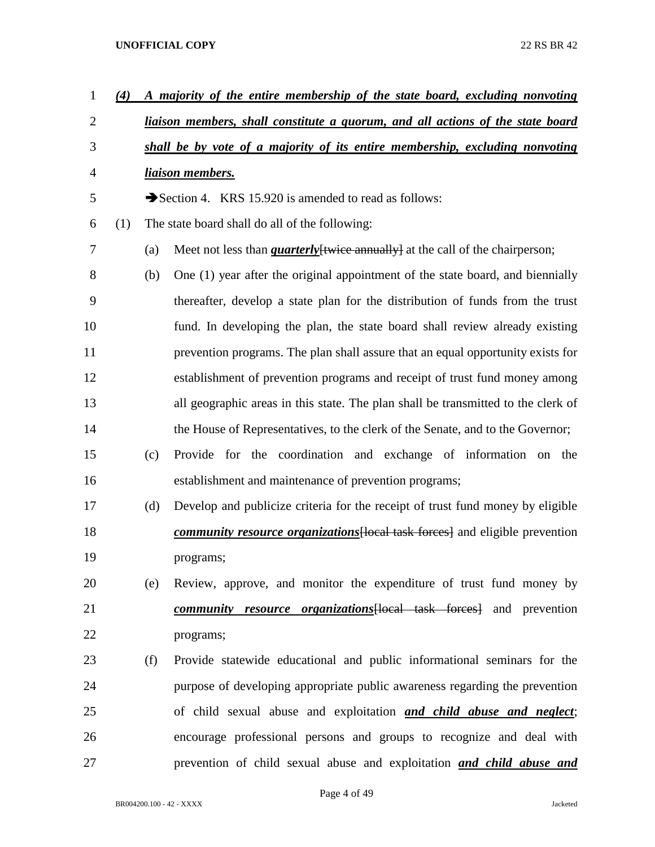| $\mathbf{1}$   | (4) |     | A majority of the entire membership of the state board, excluding nonvoting          |  |  |  |  |  |  |  |  |
|----------------|-----|-----|--------------------------------------------------------------------------------------|--|--|--|--|--|--|--|--|
| $\overline{2}$ |     |     | liaison members, shall constitute a quorum, and all actions of the state board       |  |  |  |  |  |  |  |  |
| 3              |     |     | shall be by vote of a majority of its entire membership, excluding nonvoting         |  |  |  |  |  |  |  |  |
| 4              |     |     | liaison members.                                                                     |  |  |  |  |  |  |  |  |
| 5              |     |     | Section 4. KRS 15.920 is amended to read as follows:                                 |  |  |  |  |  |  |  |  |
| 6              | (1) |     | The state board shall do all of the following:                                       |  |  |  |  |  |  |  |  |
| 7              |     | (a) | Meet not less than <i>quarterly</i> [twice annually] at the call of the chairperson; |  |  |  |  |  |  |  |  |
| 8              |     | (b) | One (1) year after the original appointment of the state board, and biennially       |  |  |  |  |  |  |  |  |
| 9              |     |     | thereafter, develop a state plan for the distribution of funds from the trust        |  |  |  |  |  |  |  |  |
| 10             |     |     | fund. In developing the plan, the state board shall review already existing          |  |  |  |  |  |  |  |  |
| 11             |     |     | prevention programs. The plan shall assure that an equal opportunity exists for      |  |  |  |  |  |  |  |  |
| 12             |     |     | establishment of prevention programs and receipt of trust fund money among           |  |  |  |  |  |  |  |  |
| 13             |     |     | all geographic areas in this state. The plan shall be transmitted to the clerk of    |  |  |  |  |  |  |  |  |
| 14             |     |     | the House of Representatives, to the clerk of the Senate, and to the Governor;       |  |  |  |  |  |  |  |  |
| 15             |     | (c) | Provide for the coordination and exchange of information on the                      |  |  |  |  |  |  |  |  |
| 16             |     |     | establishment and maintenance of prevention programs;                                |  |  |  |  |  |  |  |  |
| 17             |     | (d) | Develop and publicize criteria for the receipt of trust fund money by eligible       |  |  |  |  |  |  |  |  |
| 18             |     |     | <i>community resource organizations</i> [local task forces] and eligible prevention  |  |  |  |  |  |  |  |  |
| 19             |     |     | programs;                                                                            |  |  |  |  |  |  |  |  |
| 20             |     | (e) | Review, approve, and monitor the expenditure of trust fund money by                  |  |  |  |  |  |  |  |  |
| 21             |     |     | <i>community resource organizations</i> [local task forces] and prevention           |  |  |  |  |  |  |  |  |
| 22             |     |     | programs;                                                                            |  |  |  |  |  |  |  |  |
| 23             |     | (f) | Provide statewide educational and public informational seminars for the              |  |  |  |  |  |  |  |  |
| 24             |     |     | purpose of developing appropriate public awareness regarding the prevention          |  |  |  |  |  |  |  |  |
| 25             |     |     | of child sexual abuse and exploitation and child abuse and neglect;                  |  |  |  |  |  |  |  |  |
| 26             |     |     | encourage professional persons and groups to recognize and deal with                 |  |  |  |  |  |  |  |  |
| 27             |     |     | prevention of child sexual abuse and exploitation and child abuse and                |  |  |  |  |  |  |  |  |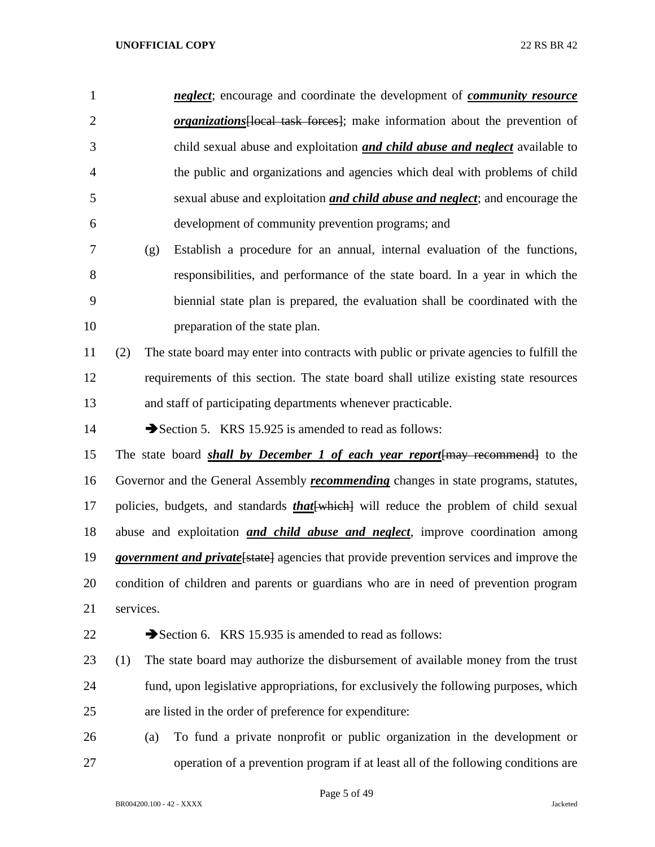| $\mathbf{1}$   | <i>neglect</i> ; encourage and coordinate the development of <i>community resource</i>          |
|----------------|-------------------------------------------------------------------------------------------------|
| $\overline{2}$ | <i>organizations</i> [local task forces]; make information about the prevention of              |
| 3              | child sexual abuse and exploitation <b>and child abuse and neglect</b> available to             |
| $\overline{4}$ | the public and organizations and agencies which deal with problems of child                     |
| 5              | sexual abuse and exploitation <i>and child abuse and neglect</i> ; and encourage the            |
| 6              | development of community prevention programs; and                                               |
| 7              | Establish a procedure for an annual, internal evaluation of the functions,<br>(g)               |
| 8              | responsibilities, and performance of the state board. In a year in which the                    |
| 9              | biennial state plan is prepared, the evaluation shall be coordinated with the                   |
| 10             | preparation of the state plan.                                                                  |
| 11             | The state board may enter into contracts with public or private agencies to fulfill the<br>(2)  |
| 12             | requirements of this section. The state board shall utilize existing state resources            |
| 13             | and staff of participating departments whenever practicable.                                    |
| 14             | Section 5. KRS 15.925 is amended to read as follows:                                            |
| 15             | The state board <b>shall by December 1 of each year report</b> [may recommend] to the           |
| 16             | Governor and the General Assembly <i>recommending</i> changes in state programs, statutes,      |
| 17             | policies, budgets, and standards <i>that</i> [which] will reduce the problem of child sexual    |
| 18             | abuse and exploitation <i>and child abuse and neglect</i> , improve coordination among          |
| 19             | <i>government and private</i> [state] agencies that provide prevention services and improve the |
| 20             | condition of children and parents or guardians who are in need of prevention program            |
| 21             | services.                                                                                       |
| 22             | Section 6. KRS 15.935 is amended to read as follows:                                            |
| 23             | The state board may authorize the disbursement of available money from the trust<br>(1)         |
| 24             | fund, upon legislative appropriations, for exclusively the following purposes, which            |
| 25             | are listed in the order of preference for expenditure:                                          |
| 26             | To fund a private nonprofit or public organization in the development or<br>(a)                 |
| 27             | operation of a prevention program if at least all of the following conditions are               |

Page 5 of 49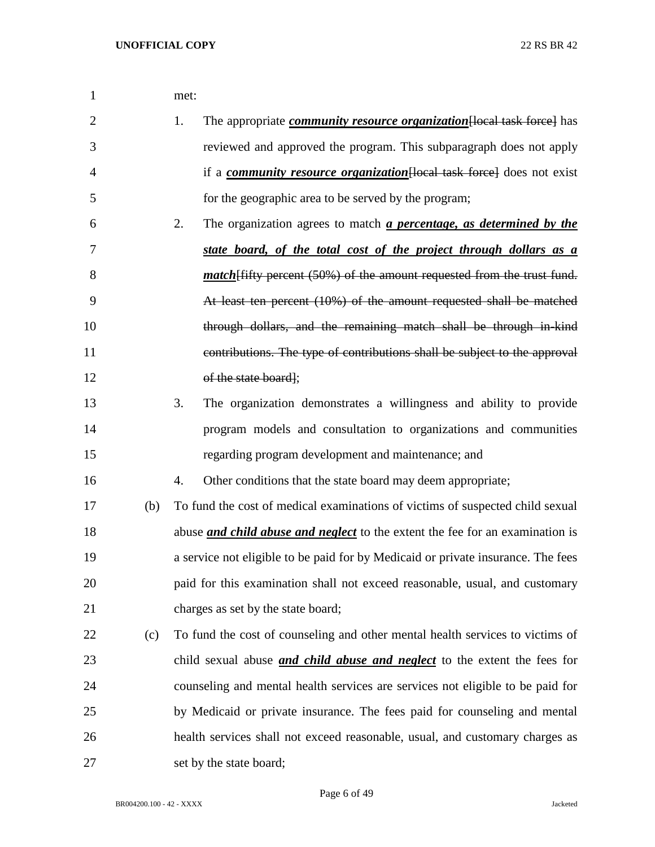| $\mathbf{1}$   |     | met:                                                                                     |
|----------------|-----|------------------------------------------------------------------------------------------|
| $\overline{2}$ |     | The appropriate <i>community resource organization</i> [local task force] has<br>1.      |
| 3              |     | reviewed and approved the program. This subparagraph does not apply                      |
| 4              |     | if a <i>community resource organization</i> [local task force] does not exist            |
| 5              |     | for the geographic area to be served by the program;                                     |
| 6              |     | 2.<br>The organization agrees to match <i>a percentage</i> , <i>as determined by the</i> |
| 7              |     | state board, of the total cost of the project through dollars as a                       |
| 8              |     | <i>match</i> [fifty percent (50%) of the amount requested from the trust fund.           |
| 9              |     | At least ten percent (10%) of the amount requested shall be matched                      |
| 10             |     | through dollars, and the remaining match shall be through in kind                        |
| 11             |     | contributions. The type of contributions shall be subject to the approval                |
| 12             |     | of the state board];                                                                     |
| 13             |     | 3.<br>The organization demonstrates a willingness and ability to provide                 |
| 14             |     | program models and consultation to organizations and communities                         |
| 15             |     | regarding program development and maintenance; and                                       |
| 16             |     | Other conditions that the state board may deem appropriate;<br>4.                        |
| 17             | (b) | To fund the cost of medical examinations of victims of suspected child sexual            |
| 18             |     | abuse <i>and child abuse and neglect</i> to the extent the fee for an examination is     |
| 19             |     | a service not eligible to be paid for by Medicaid or private insurance. The fees         |
| 20             |     | paid for this examination shall not exceed reasonable, usual, and customary              |
| 21             |     | charges as set by the state board;                                                       |
| 22             | (c) | To fund the cost of counseling and other mental health services to victims of            |
| 23             |     | child sexual abuse <i>and child abuse and neglect</i> to the extent the fees for         |
| 24             |     | counseling and mental health services are services not eligible to be paid for           |
| 25             |     | by Medicaid or private insurance. The fees paid for counseling and mental                |
| 26             |     | health services shall not exceed reasonable, usual, and customary charges as             |
| 27             |     | set by the state board;                                                                  |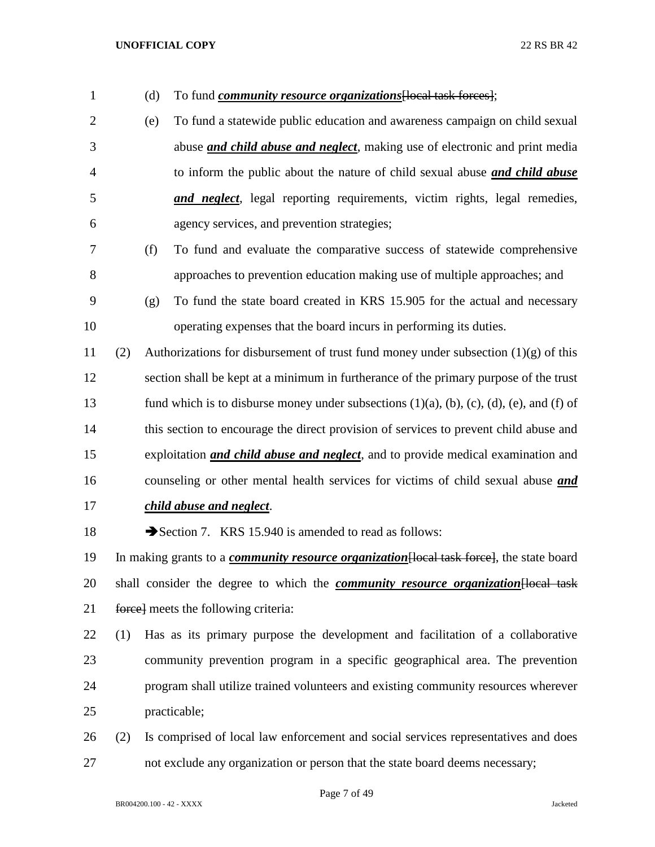| 1              |     | (d) | To fund <i>community resource organizations</i> [local task forces];                                      |
|----------------|-----|-----|-----------------------------------------------------------------------------------------------------------|
| $\overline{2}$ |     | (e) | To fund a statewide public education and awareness campaign on child sexual                               |
| 3              |     |     | abuse <i>and child abuse and neglect</i> , making use of electronic and print media                       |
| $\overline{4}$ |     |     | to inform the public about the nature of child sexual abuse and child abuse                               |
| 5              |     |     | and neglect, legal reporting requirements, victim rights, legal remedies,                                 |
| 6              |     |     | agency services, and prevention strategies;                                                               |
| 7              |     | (f) | To fund and evaluate the comparative success of statewide comprehensive                                   |
| 8              |     |     | approaches to prevention education making use of multiple approaches; and                                 |
| 9              |     | (g) | To fund the state board created in KRS 15.905 for the actual and necessary                                |
| 10             |     |     | operating expenses that the board incurs in performing its duties.                                        |
| 11             | (2) |     | Authorizations for disbursement of trust fund money under subsection $(1)(g)$ of this                     |
| 12             |     |     | section shall be kept at a minimum in furtherance of the primary purpose of the trust                     |
| 13             |     |     | fund which is to disburse money under subsections $(1)(a)$ , $(b)$ , $(c)$ , $(d)$ , $(e)$ , and $(f)$ of |
| 14             |     |     | this section to encourage the direct provision of services to prevent child abuse and                     |
| 15             |     |     | exploitation <i>and child abuse and neglect</i> , and to provide medical examination and                  |
| 16             |     |     | counseling or other mental health services for victims of child sexual abuse <i>and</i>                   |
| 17             |     |     | child abuse and neglect.                                                                                  |
| 18             |     |     | Section 7. KRS 15.940 is amended to read as follows:                                                      |
| 19             |     |     | In making grants to a <i>community resource organization</i> [local task force], the state board          |
| 20             |     |     | shall consider the degree to which the <i>community resource organization</i> [local task                 |
| 21             |     |     | force meets the following criteria:                                                                       |
| 22             | (1) |     | Has as its primary purpose the development and facilitation of a collaborative                            |
| 23             |     |     | community prevention program in a specific geographical area. The prevention                              |
| 24             |     |     | program shall utilize trained volunteers and existing community resources wherever                        |
| 25             |     |     | practicable;                                                                                              |
| 26             | (2) |     | Is comprised of local law enforcement and social services representatives and does                        |
| 27             |     |     | not exclude any organization or person that the state board deems necessary;                              |

Page 7 of 49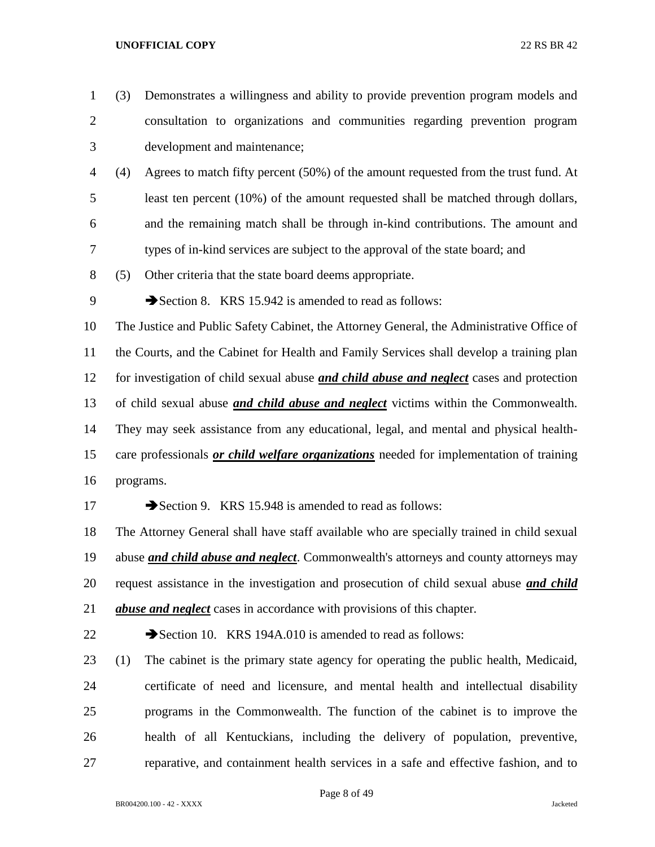- (3) Demonstrates a willingness and ability to provide prevention program models and consultation to organizations and communities regarding prevention program development and maintenance; (4) Agrees to match fifty percent (50%) of the amount requested from the trust fund. At least ten percent (10%) of the amount requested shall be matched through dollars, and the remaining match shall be through in-kind contributions. The amount and types of in-kind services are subject to the approval of the state board; and (5) Other criteria that the state board deems appropriate. 9 Section 8. KRS 15.942 is amended to read as follows: The Justice and Public Safety Cabinet, the Attorney General, the Administrative Office of the Courts, and the Cabinet for Health and Family Services shall develop a training plan for investigation of child sexual abuse *and child abuse and neglect* cases and protection of child sexual abuse *and child abuse and neglect* victims within the Commonwealth. They may seek assistance from any educational, legal, and mental and physical health- care professionals *or child welfare organizations* needed for implementation of training programs. 17 Section 9. KRS 15.948 is amended to read as follows: The Attorney General shall have staff available who are specially trained in child sexual abuse *and child abuse and neglect*. Commonwealth's attorneys and county attorneys may request assistance in the investigation and prosecution of child sexual abuse *and child abuse and neglect* cases in accordance with provisions of this chapter. 22 Section 10. KRS 194A.010 is amended to read as follows: (1) The cabinet is the primary state agency for operating the public health, Medicaid, certificate of need and licensure, and mental health and intellectual disability
- health of all Kentuckians, including the delivery of population, preventive, reparative, and containment health services in a safe and effective fashion, and to

programs in the Commonwealth. The function of the cabinet is to improve the

## Page 8 of 49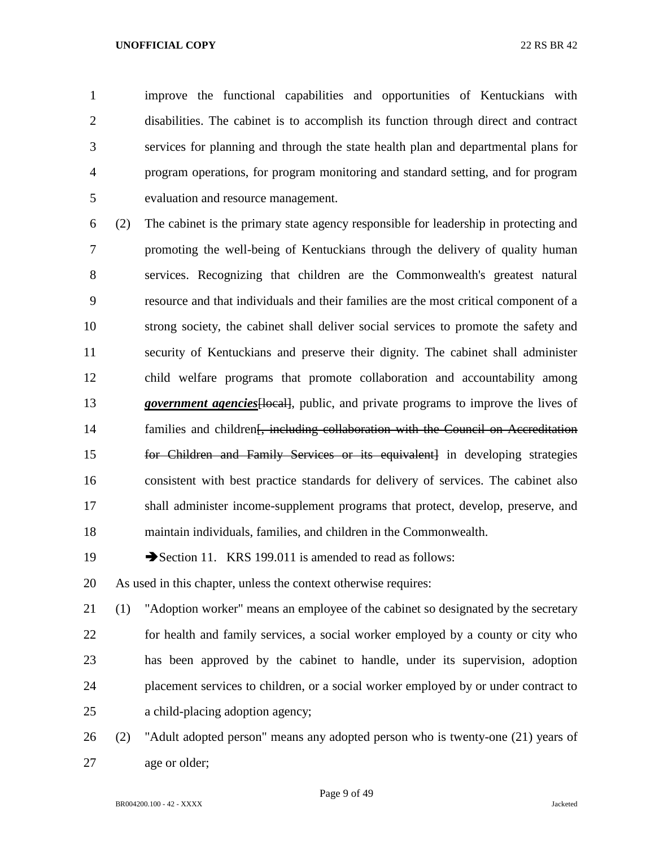improve the functional capabilities and opportunities of Kentuckians with disabilities. The cabinet is to accomplish its function through direct and contract services for planning and through the state health plan and departmental plans for program operations, for program monitoring and standard setting, and for program evaluation and resource management.

 (2) The cabinet is the primary state agency responsible for leadership in protecting and promoting the well-being of Kentuckians through the delivery of quality human services. Recognizing that children are the Commonwealth's greatest natural resource and that individuals and their families are the most critical component of a strong society, the cabinet shall deliver social services to promote the safety and security of Kentuckians and preserve their dignity. The cabinet shall administer child welfare programs that promote collaboration and accountability among *government agencies*[local], public, and private programs to improve the lives of 14 families and children<del>[, including collaboration with the Council on Accreditation</del> for Children and Family Services or its equivalent] in developing strategies consistent with best practice standards for delivery of services. The cabinet also shall administer income-supplement programs that protect, develop, preserve, and maintain individuals, families, and children in the Commonwealth.

19 Section 11. KRS 199.011 is amended to read as follows:

As used in this chapter, unless the context otherwise requires:

 (1) "Adoption worker" means an employee of the cabinet so designated by the secretary for health and family services, a social worker employed by a county or city who has been approved by the cabinet to handle, under its supervision, adoption placement services to children, or a social worker employed by or under contract to a child-placing adoption agency;

 (2) "Adult adopted person" means any adopted person who is twenty-one (21) years of age or older;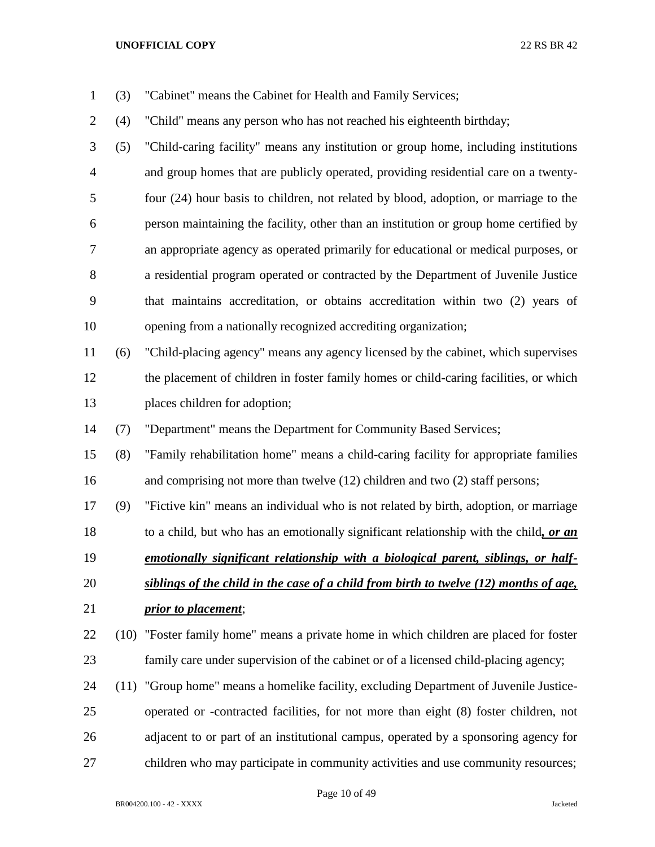- (3) "Cabinet" means the Cabinet for Health and Family Services;
- (4) "Child" means any person who has not reached his eighteenth birthday;

 (5) "Child-caring facility" means any institution or group home, including institutions and group homes that are publicly operated, providing residential care on a twenty- four (24) hour basis to children, not related by blood, adoption, or marriage to the person maintaining the facility, other than an institution or group home certified by an appropriate agency as operated primarily for educational or medical purposes, or a residential program operated or contracted by the Department of Juvenile Justice that maintains accreditation, or obtains accreditation within two (2) years of opening from a nationally recognized accrediting organization;

 (6) "Child-placing agency" means any agency licensed by the cabinet, which supervises the placement of children in foster family homes or child-caring facilities, or which places children for adoption;

(7) "Department" means the Department for Community Based Services;

 (8) "Family rehabilitation home" means a child-caring facility for appropriate families and comprising not more than twelve (12) children and two (2) staff persons;

(9) "Fictive kin" means an individual who is not related by birth, adoption, or marriage

to a child, but who has an emotionally significant relationship with the child*, or an* 

*emotionally significant relationship with a biological parent, siblings, or half-*

- *siblings of the child in the case of a child from birth to twelve (12) months of age, prior to placement*;
- (10) "Foster family home" means a private home in which children are placed for foster family care under supervision of the cabinet or of a licensed child-placing agency;
- (11) "Group home" means a homelike facility, excluding Department of Juvenile Justice- operated or -contracted facilities, for not more than eight (8) foster children, not adjacent to or part of an institutional campus, operated by a sponsoring agency for children who may participate in community activities and use community resources;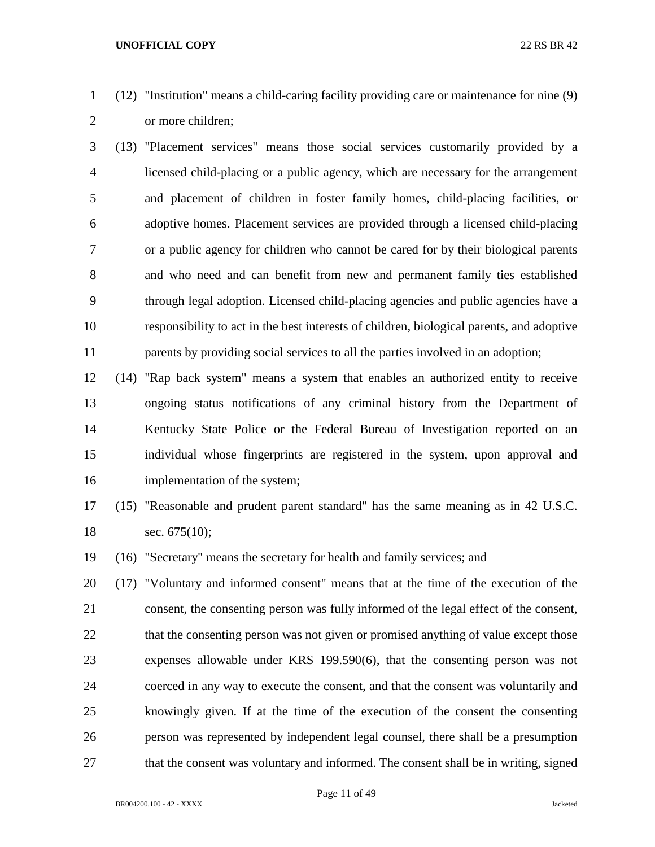- (12) "Institution" means a child-caring facility providing care or maintenance for nine (9) or more children;
- (13) "Placement services" means those social services customarily provided by a licensed child-placing or a public agency, which are necessary for the arrangement and placement of children in foster family homes, child-placing facilities, or adoptive homes. Placement services are provided through a licensed child-placing or a public agency for children who cannot be cared for by their biological parents and who need and can benefit from new and permanent family ties established through legal adoption. Licensed child-placing agencies and public agencies have a responsibility to act in the best interests of children, biological parents, and adoptive parents by providing social services to all the parties involved in an adoption;
- (14) "Rap back system" means a system that enables an authorized entity to receive ongoing status notifications of any criminal history from the Department of Kentucky State Police or the Federal Bureau of Investigation reported on an individual whose fingerprints are registered in the system, upon approval and implementation of the system;
- (15) "Reasonable and prudent parent standard" has the same meaning as in 42 U.S.C. 18 sec. 675(10);
- (16) "Secretary" means the secretary for health and family services; and
- (17) "Voluntary and informed consent" means that at the time of the execution of the consent, the consenting person was fully informed of the legal effect of the consent, 22 that the consenting person was not given or promised anything of value except those expenses allowable under KRS 199.590(6), that the consenting person was not coerced in any way to execute the consent, and that the consent was voluntarily and knowingly given. If at the time of the execution of the consent the consenting person was represented by independent legal counsel, there shall be a presumption 27 that the consent was voluntary and informed. The consent shall be in writing, signed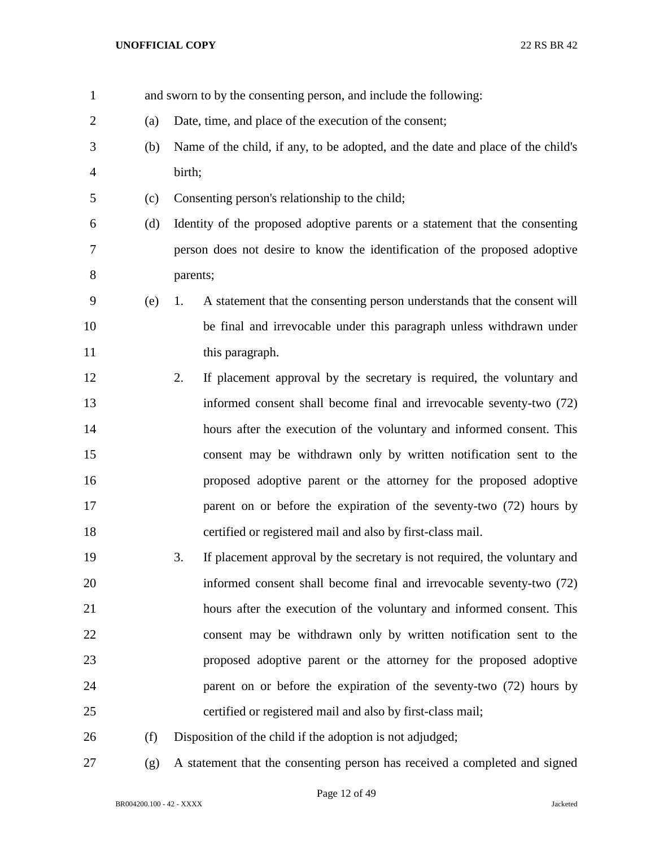| $\mathbf{1}$   |     |          | and sworn to by the consenting person, and include the following:               |
|----------------|-----|----------|---------------------------------------------------------------------------------|
| $\overline{2}$ | (a) |          | Date, time, and place of the execution of the consent;                          |
| 3              | (b) |          | Name of the child, if any, to be adopted, and the date and place of the child's |
| 4              |     | birth;   |                                                                                 |
| 5              | (c) |          | Consenting person's relationship to the child;                                  |
| 6              | (d) |          | Identity of the proposed adoptive parents or a statement that the consenting    |
| 7              |     |          | person does not desire to know the identification of the proposed adoptive      |
| 8              |     | parents; |                                                                                 |
| 9              | (e) | 1.       | A statement that the consenting person understands that the consent will        |
| 10             |     |          | be final and irrevocable under this paragraph unless withdrawn under            |
| 11             |     |          | this paragraph.                                                                 |
| 12             |     | 2.       | If placement approval by the secretary is required, the voluntary and           |
| 13             |     |          | informed consent shall become final and irrevocable seventy-two (72)            |
| 14             |     |          | hours after the execution of the voluntary and informed consent. This           |
| 15             |     |          | consent may be withdrawn only by written notification sent to the               |
| 16             |     |          | proposed adoptive parent or the attorney for the proposed adoptive              |
| 17             |     |          | parent on or before the expiration of the seventy-two (72) hours by             |
| 18             |     |          | certified or registered mail and also by first-class mail.                      |
| 19             |     | 3.       | If placement approval by the secretary is not required, the voluntary and       |
| 20             |     |          | informed consent shall become final and irrevocable seventy-two (72)            |
| 21             |     |          | hours after the execution of the voluntary and informed consent. This           |
| 22             |     |          | consent may be withdrawn only by written notification sent to the               |
| 23             |     |          | proposed adoptive parent or the attorney for the proposed adoptive              |
| 24             |     |          | parent on or before the expiration of the seventy-two (72) hours by             |
| 25             |     |          | certified or registered mail and also by first-class mail;                      |
| 26             | (f) |          | Disposition of the child if the adoption is not adjudged;                       |
| 27             | (g) |          | A statement that the consenting person has received a completed and signed      |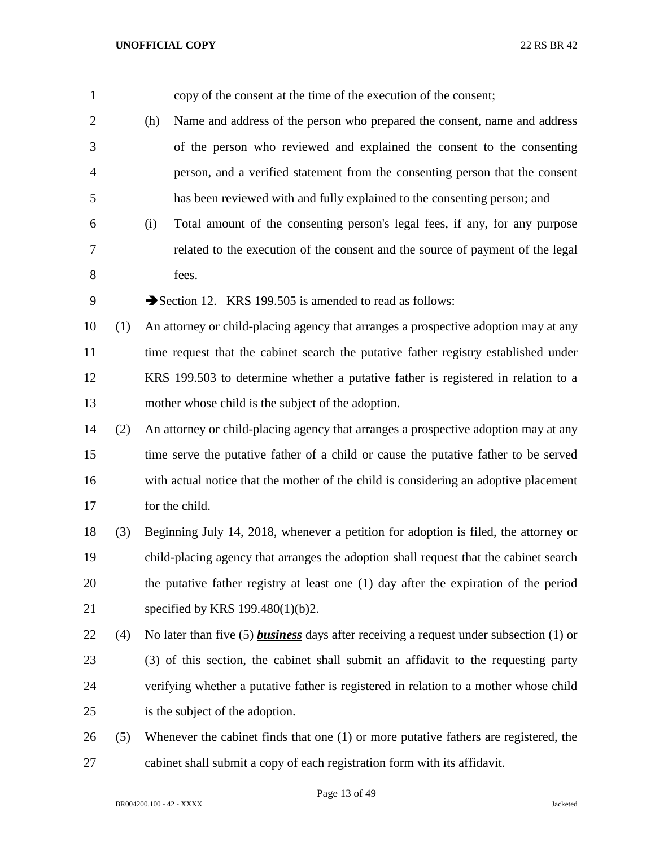| $\mathbf{1}$   |     | copy of the consent at the time of the execution of the consent;                              |
|----------------|-----|-----------------------------------------------------------------------------------------------|
| $\overline{2}$ |     | Name and address of the person who prepared the consent, name and address<br>(h)              |
| 3              |     | of the person who reviewed and explained the consent to the consenting                        |
| $\overline{4}$ |     | person, and a verified statement from the consenting person that the consent                  |
| 5              |     | has been reviewed with and fully explained to the consenting person; and                      |
| 6              |     | Total amount of the consenting person's legal fees, if any, for any purpose<br>(i)            |
| 7              |     | related to the execution of the consent and the source of payment of the legal                |
| $8\,$          |     | fees.                                                                                         |
| 9              |     | Section 12. KRS 199.505 is amended to read as follows:                                        |
| 10             | (1) | An attorney or child-placing agency that arranges a prospective adoption may at any           |
| 11             |     | time request that the cabinet search the putative father registry established under           |
| 12             |     | KRS 199.503 to determine whether a putative father is registered in relation to a             |
| 13             |     | mother whose child is the subject of the adoption.                                            |
| 14             | (2) | An attorney or child-placing agency that arranges a prospective adoption may at any           |
| 15             |     | time serve the putative father of a child or cause the putative father to be served           |
| 16             |     | with actual notice that the mother of the child is considering an adoptive placement          |
| 17             |     | for the child.                                                                                |
| 18             | (3) | Beginning July 14, 2018, whenever a petition for adoption is filed, the attorney or           |
| 19             |     | child-placing agency that arranges the adoption shall request that the cabinet search         |
| 20             |     | the putative father registry at least one (1) day after the expiration of the period          |
| 21             |     | specified by KRS 199.480(1)(b)2.                                                              |
| 22             | (4) | No later than five (5) <b>business</b> days after receiving a request under subsection (1) or |
| 23             |     | (3) of this section, the cabinet shall submit an affidavit to the requesting party            |
| 24             |     | verifying whether a putative father is registered in relation to a mother whose child         |
| 25             |     | is the subject of the adoption.                                                               |
| 26             | (5) | Whenever the cabinet finds that one $(1)$ or more putative fathers are registered, the        |
| 27             |     | cabinet shall submit a copy of each registration form with its affidavit.                     |

Page 13 of 49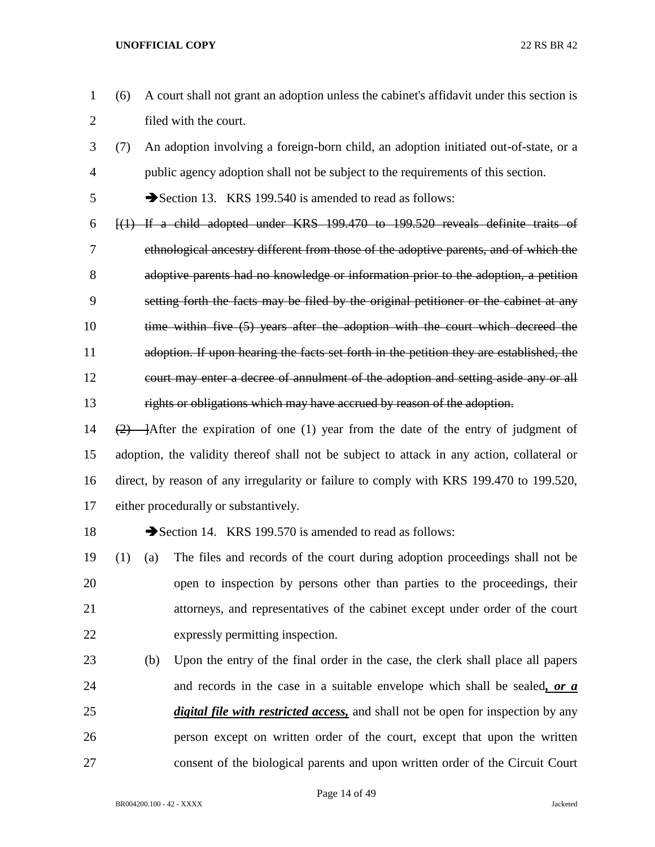- (6) A court shall not grant an adoption unless the cabinet's affidavit under this section is filed with the court.
- (7) An adoption involving a foreign-born child, an adoption initiated out-of-state, or a public agency adoption shall not be subject to the requirements of this section.

Section 13. KRS 199.540 is amended to read as follows:

- [(1) If a child adopted under KRS 199.470 to 199.520 reveals definite traits of ethnological ancestry different from those of the adoptive parents, and of which the adoptive parents had no knowledge or information prior to the adoption, a petition setting forth the facts may be filed by the original petitioner or the cabinet at any 10 time within five (5) years after the adoption with the court which decreed the adoption. If upon hearing the facts set forth in the petition they are established, the court may enter a decree of annulment of the adoption and setting aside any or all rights or obligations which may have accrued by reason of the adoption.
- 14  $(2)$  After the expiration of one (1) year from the date of the entry of judgment of adoption, the validity thereof shall not be subject to attack in any action, collateral or direct, by reason of any irregularity or failure to comply with KRS 199.470 to 199.520, either procedurally or substantively.
- 

18 Section 14. KRS 199.570 is amended to read as follows:

- (1) (a) The files and records of the court during adoption proceedings shall not be open to inspection by persons other than parties to the proceedings, their attorneys, and representatives of the cabinet except under order of the court expressly permitting inspection.
- (b) Upon the entry of the final order in the case, the clerk shall place all papers and records in the case in a suitable envelope which shall be sealed*, or a digital file with restricted access,* and shall not be open for inspection by any person except on written order of the court, except that upon the written consent of the biological parents and upon written order of the Circuit Court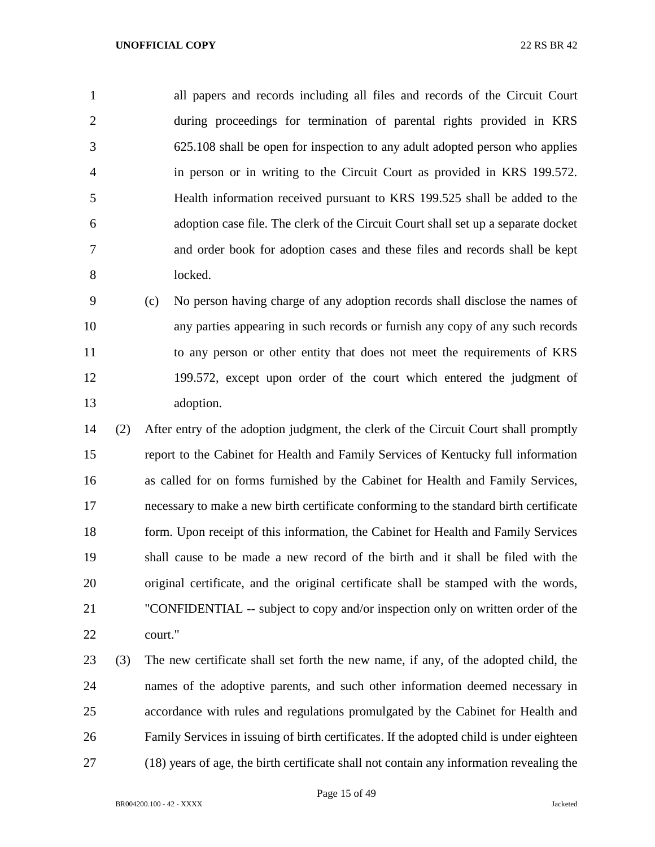all papers and records including all files and records of the Circuit Court during proceedings for termination of parental rights provided in KRS 625.108 shall be open for inspection to any adult adopted person who applies in person or in writing to the Circuit Court as provided in KRS 199.572. Health information received pursuant to KRS 199.525 shall be added to the adoption case file. The clerk of the Circuit Court shall set up a separate docket and order book for adoption cases and these files and records shall be kept locked.

 (c) No person having charge of any adoption records shall disclose the names of any parties appearing in such records or furnish any copy of any such records to any person or other entity that does not meet the requirements of KRS 199.572, except upon order of the court which entered the judgment of adoption.

 (2) After entry of the adoption judgment, the clerk of the Circuit Court shall promptly report to the Cabinet for Health and Family Services of Kentucky full information as called for on forms furnished by the Cabinet for Health and Family Services, necessary to make a new birth certificate conforming to the standard birth certificate form. Upon receipt of this information, the Cabinet for Health and Family Services shall cause to be made a new record of the birth and it shall be filed with the original certificate, and the original certificate shall be stamped with the words, "CONFIDENTIAL -- subject to copy and/or inspection only on written order of the court."

 (3) The new certificate shall set forth the new name, if any, of the adopted child, the names of the adoptive parents, and such other information deemed necessary in accordance with rules and regulations promulgated by the Cabinet for Health and Family Services in issuing of birth certificates. If the adopted child is under eighteen (18) years of age, the birth certificate shall not contain any information revealing the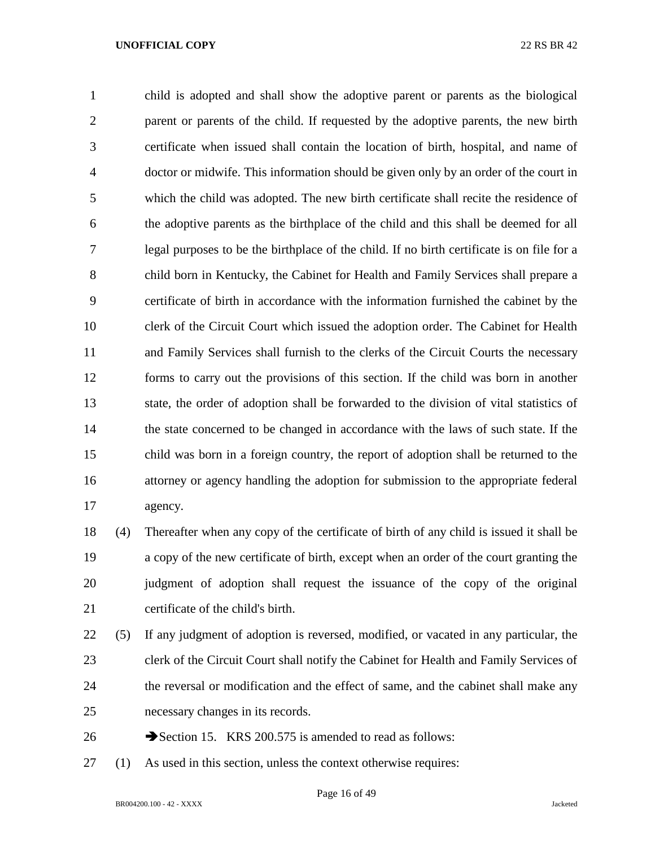child is adopted and shall show the adoptive parent or parents as the biological parent or parents of the child. If requested by the adoptive parents, the new birth certificate when issued shall contain the location of birth, hospital, and name of doctor or midwife. This information should be given only by an order of the court in which the child was adopted. The new birth certificate shall recite the residence of the adoptive parents as the birthplace of the child and this shall be deemed for all legal purposes to be the birthplace of the child. If no birth certificate is on file for a child born in Kentucky, the Cabinet for Health and Family Services shall prepare a certificate of birth in accordance with the information furnished the cabinet by the clerk of the Circuit Court which issued the adoption order. The Cabinet for Health and Family Services shall furnish to the clerks of the Circuit Courts the necessary forms to carry out the provisions of this section. If the child was born in another state, the order of adoption shall be forwarded to the division of vital statistics of the state concerned to be changed in accordance with the laws of such state. If the child was born in a foreign country, the report of adoption shall be returned to the attorney or agency handling the adoption for submission to the appropriate federal agency.

 (4) Thereafter when any copy of the certificate of birth of any child is issued it shall be a copy of the new certificate of birth, except when an order of the court granting the judgment of adoption shall request the issuance of the copy of the original certificate of the child's birth.

 (5) If any judgment of adoption is reversed, modified, or vacated in any particular, the clerk of the Circuit Court shall notify the Cabinet for Health and Family Services of the reversal or modification and the effect of same, and the cabinet shall make any necessary changes in its records.

- 26 Section 15. KRS 200.575 is amended to read as follows:
- (1) As used in this section, unless the context otherwise requires: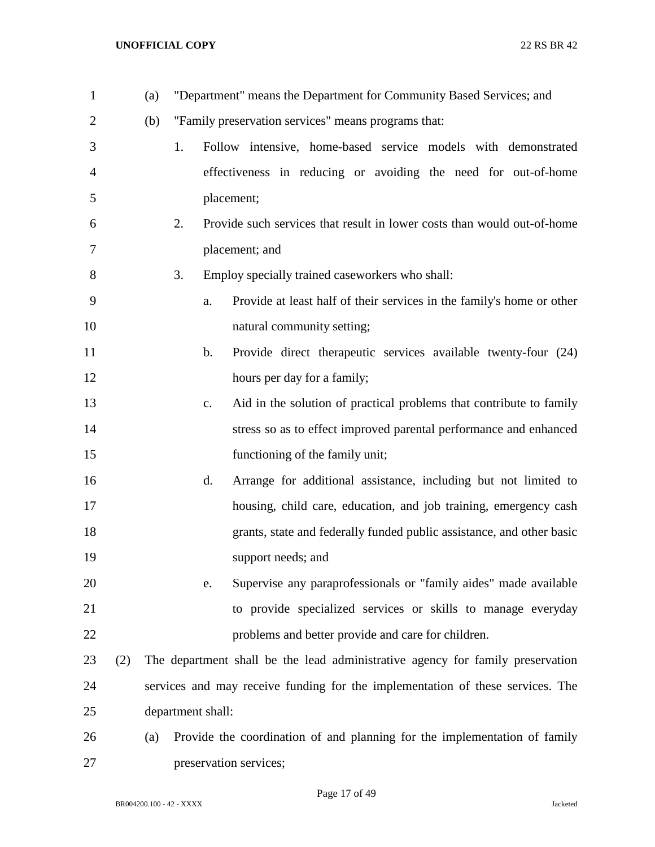| $\mathbf{1}$   |     | (a) |                   |               | "Department" means the Department for Community Based Services; and            |
|----------------|-----|-----|-------------------|---------------|--------------------------------------------------------------------------------|
| $\overline{2}$ |     | (b) |                   |               | "Family preservation services" means programs that:                            |
| 3              |     |     | 1.                |               | Follow intensive, home-based service models with demonstrated                  |
| 4              |     |     |                   |               | effectiveness in reducing or avoiding the need for out-of-home                 |
| 5              |     |     |                   |               | placement;                                                                     |
| 6              |     |     | 2.                |               | Provide such services that result in lower costs than would out-of-home        |
| 7              |     |     |                   |               | placement; and                                                                 |
| 8              |     |     | 3.                |               | Employ specially trained caseworkers who shall:                                |
| 9              |     |     |                   | a.            | Provide at least half of their services in the family's home or other          |
| 10             |     |     |                   |               | natural community setting;                                                     |
| 11             |     |     |                   | $\mathbf b$ . | Provide direct therapeutic services available twenty-four (24)                 |
| 12             |     |     |                   |               | hours per day for a family;                                                    |
| 13             |     |     |                   | c.            | Aid in the solution of practical problems that contribute to family            |
| 14             |     |     |                   |               | stress so as to effect improved parental performance and enhanced              |
| 15             |     |     |                   |               | functioning of the family unit;                                                |
| 16             |     |     |                   | d.            | Arrange for additional assistance, including but not limited to                |
| 17             |     |     |                   |               | housing, child care, education, and job training, emergency cash               |
| 18             |     |     |                   |               | grants, state and federally funded public assistance, and other basic          |
| 19             |     |     |                   |               | support needs; and                                                             |
| 20             |     |     |                   | e.            | Supervise any paraprofessionals or "family aides" made available               |
| 21             |     |     |                   |               | to provide specialized services or skills to manage everyday                   |
| 22             |     |     |                   |               | problems and better provide and care for children.                             |
| 23             | (2) |     |                   |               | The department shall be the lead administrative agency for family preservation |
| 24             |     |     |                   |               | services and may receive funding for the implementation of these services. The |
| 25             |     |     | department shall: |               |                                                                                |
| 26             |     | (a) |                   |               | Provide the coordination of and planning for the implementation of family      |
| 27             |     |     |                   |               | preservation services;                                                         |

Page 17 of 49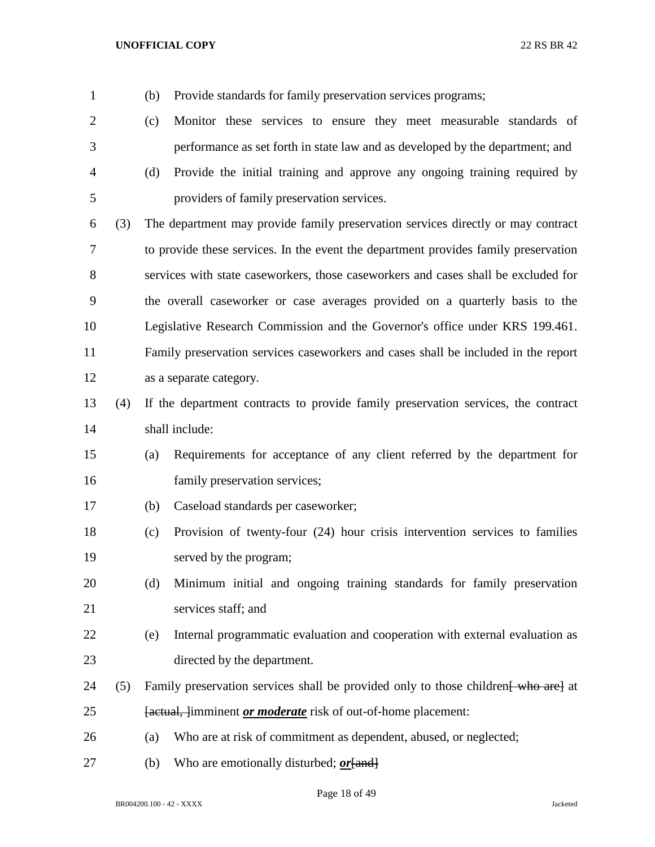| $\mathbf{1}$ |     | (b) | Provide standards for family preservation services programs;                        |
|--------------|-----|-----|-------------------------------------------------------------------------------------|
| 2            |     | (c) | Monitor these services to ensure they meet measurable standards of                  |
| 3            |     |     | performance as set forth in state law and as developed by the department; and       |
| 4            |     | (d) | Provide the initial training and approve any ongoing training required by           |
| 5            |     |     | providers of family preservation services.                                          |
| 6            | (3) |     | The department may provide family preservation services directly or may contract    |
| 7            |     |     | to provide these services. In the event the department provides family preservation |
| 8            |     |     | services with state caseworkers, those caseworkers and cases shall be excluded for  |
| 9            |     |     | the overall caseworker or case averages provided on a quarterly basis to the        |
| 10           |     |     | Legislative Research Commission and the Governor's office under KRS 199.461.        |
| 11           |     |     | Family preservation services caseworkers and cases shall be included in the report  |
| 12           |     |     | as a separate category.                                                             |
| 13           | (4) |     | If the department contracts to provide family preservation services, the contract   |
| 14           |     |     | shall include:                                                                      |
| 15           |     | (a) | Requirements for acceptance of any client referred by the department for            |
| 16           |     |     | family preservation services;                                                       |
| 17           |     | (b) | Caseload standards per caseworker;                                                  |
| 18           |     | (c) | Provision of twenty-four (24) hour crisis intervention services to families         |
| 19           |     |     | served by the program;                                                              |
| 20           |     | (d) | Minimum initial and ongoing training standards for family preservation              |
| 21           |     |     | services staff; and                                                                 |
| 22           |     | (e) | Internal programmatic evaluation and cooperation with external evaluation as        |
| 23           |     |     | directed by the department.                                                         |
| 24           | (5) |     | Family preservation services shall be provided only to those children who are at    |
| 25           |     |     | [actual, ]imminent <i>or moderate</i> risk of out-of-home placement:                |
| 26           |     | (a) | Who are at risk of commitment as dependent, abused, or neglected;                   |
| 27           |     | (b) | Who are emotionally disturbed; <i>or</i> [and]                                      |

Page 18 of 49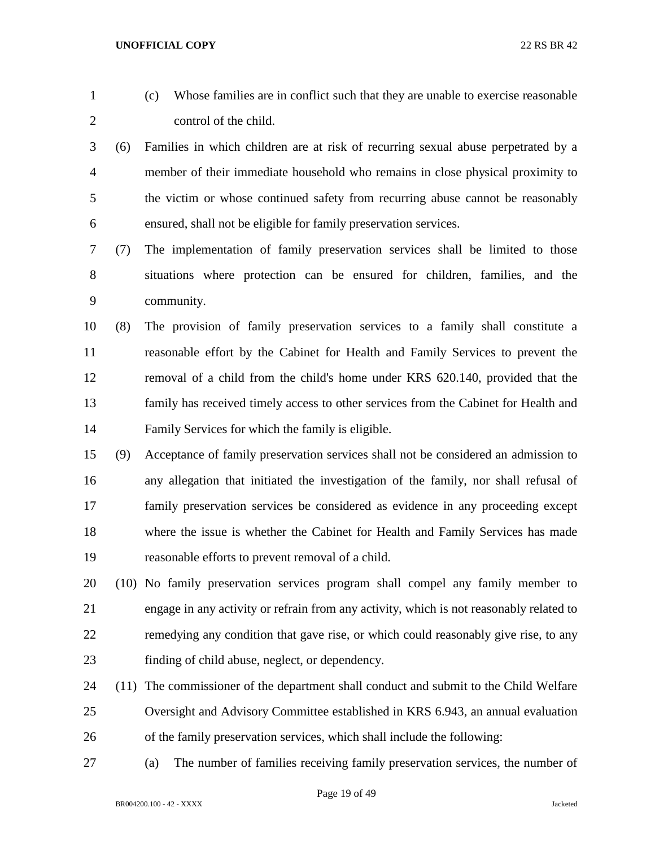- (c) Whose families are in conflict such that they are unable to exercise reasonable control of the child. (6) Families in which children are at risk of recurring sexual abuse perpetrated by a member of their immediate household who remains in close physical proximity to the victim or whose continued safety from recurring abuse cannot be reasonably ensured, shall not be eligible for family preservation services. (7) The implementation of family preservation services shall be limited to those situations where protection can be ensured for children, families, and the community. (8) The provision of family preservation services to a family shall constitute a reasonable effort by the Cabinet for Health and Family Services to prevent the removal of a child from the child's home under KRS 620.140, provided that the family has received timely access to other services from the Cabinet for Health and Family Services for which the family is eligible. (9) Acceptance of family preservation services shall not be considered an admission to any allegation that initiated the investigation of the family, nor shall refusal of
- where the issue is whether the Cabinet for Health and Family Services has made reasonable efforts to prevent removal of a child.

family preservation services be considered as evidence in any proceeding except

- (10) No family preservation services program shall compel any family member to engage in any activity or refrain from any activity, which is not reasonably related to remedying any condition that gave rise, or which could reasonably give rise, to any finding of child abuse, neglect, or dependency.
- (11) The commissioner of the department shall conduct and submit to the Child Welfare Oversight and Advisory Committee established in KRS 6.943, an annual evaluation of the family preservation services, which shall include the following:
- (a) The number of families receiving family preservation services, the number of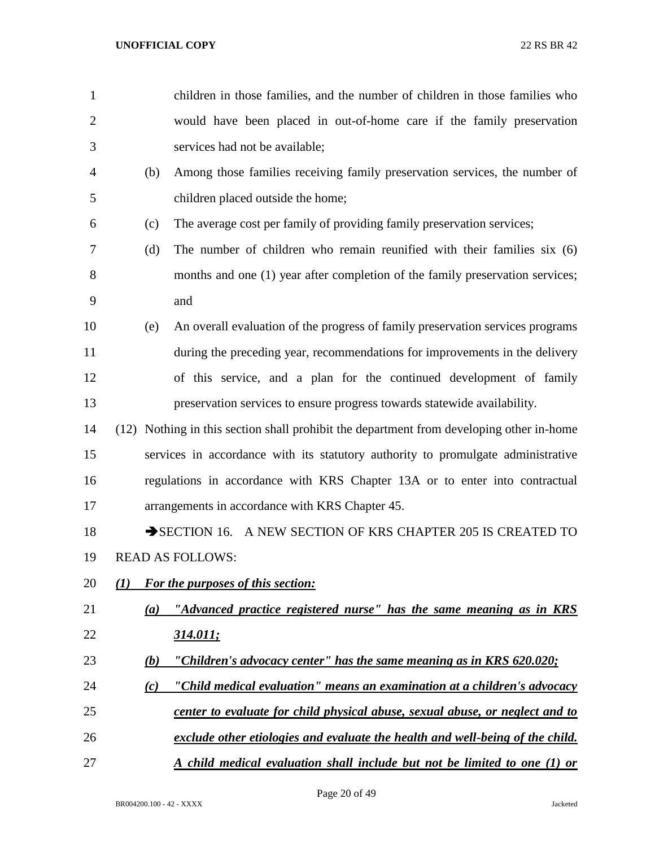| $\mathbf{1}$   |     | children in those families, and the number of children in those families who             |
|----------------|-----|------------------------------------------------------------------------------------------|
| $\overline{2}$ |     | would have been placed in out-of-home care if the family preservation                    |
| 3              |     | services had not be available;                                                           |
| 4              | (b) | Among those families receiving family preservation services, the number of               |
| 5              |     | children placed outside the home;                                                        |
| 6              | (c) | The average cost per family of providing family preservation services;                   |
| 7              | (d) | The number of children who remain reunified with their families six (6)                  |
| 8              |     | months and one (1) year after completion of the family preservation services;            |
| 9              |     | and                                                                                      |
| 10             | (e) | An overall evaluation of the progress of family preservation services programs           |
| 11             |     | during the preceding year, recommendations for improvements in the delivery              |
| 12             |     | of this service, and a plan for the continued development of family                      |
| 13             |     | preservation services to ensure progress towards statewide availability.                 |
| 14             |     | (12) Nothing in this section shall prohibit the department from developing other in-home |
| 15             |     | services in accordance with its statutory authority to promulgate administrative         |
| 16             |     | regulations in accordance with KRS Chapter 13A or to enter into contractual              |
| 17             |     | arrangements in accordance with KRS Chapter 45.                                          |
| 18             |     | SECTION 16. A NEW SECTION OF KRS CHAPTER 205 IS CREATED TO                               |
| 19             |     | <b>READ AS FOLLOWS:</b>                                                                  |
| 20             | (1) | <b>For the purposes of this section:</b>                                                 |
| 21             | (a) | "Advanced practice registered nurse" has the same meaning as in KRS                      |
| 22             |     | <u>314.011;</u>                                                                          |
| 23             | (b) | "Children's advocacy center" has the same meaning as in KRS 620.020;                     |
| 24             | (c) | "Child medical evaluation" means an examination at a children's advocacy                 |
| 25             |     | center to evaluate for child physical abuse, sexual abuse, or neglect and to             |
| 26             |     | exclude other etiologies and evaluate the health and well-being of the child.            |
| 27             |     | A child medical evaluation shall include but not be limited to one (1) or                |

Page 20 of 49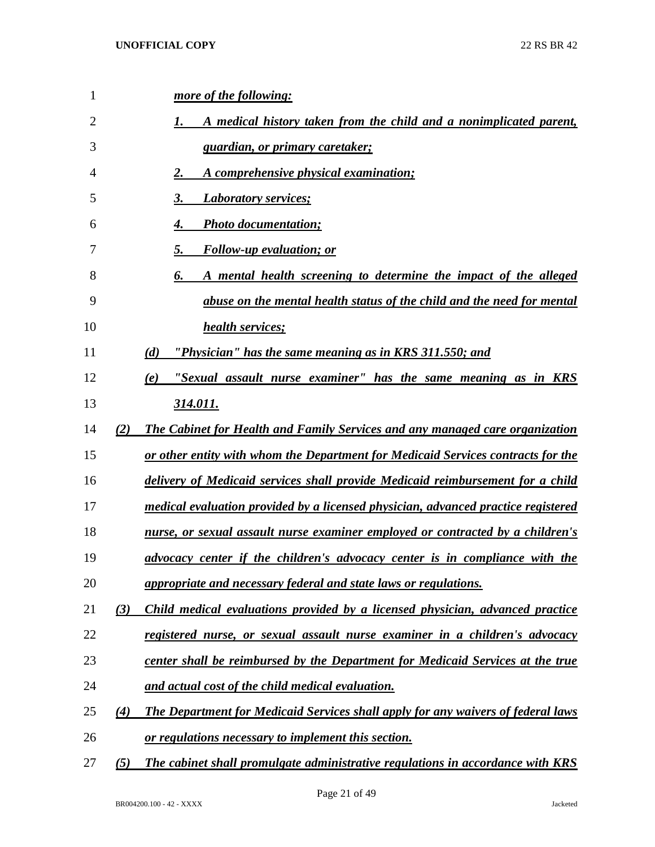| 1              |     | more of the following:                                                            |
|----------------|-----|-----------------------------------------------------------------------------------|
| $\overline{2}$ |     | A medical history taken from the child and a nonimplicated parent,<br>1.          |
| 3              |     | <u>guardian, or primary caretaker;</u>                                            |
| 4              |     | A comprehensive physical examination;<br>2.                                       |
| 5              |     | 3.<br><b>Laboratory services;</b>                                                 |
| 6              |     | <b>Photo documentation;</b><br>4.                                                 |
| 7              |     | <b>Follow-up evaluation; or</b><br>5.                                             |
| 8              |     | A mental health screening to determine the impact of the alleged<br>6.            |
| 9              |     | abuse on the mental health status of the child and the need for mental            |
| 10             |     | health services;                                                                  |
| 11             |     | "Physician" has the same meaning as in KRS 311.550; and<br>(d)                    |
| 12             |     | "Sexual assault nurse examiner" has the same meaning as in KRS<br>(e)             |
| 13             |     | 314.011.                                                                          |
| 14             | (2) | The Cabinet for Health and Family Services and any managed care organization      |
| 15             |     | or other entity with whom the Department for Medicaid Services contracts for the  |
| 16             |     | delivery of Medicaid services shall provide Medicaid reimbursement for a child    |
| 17             |     | medical evaluation provided by a licensed physician, advanced practice registered |
| 18             |     | nurse, or sexual assault nurse examiner employed or contracted by a children's    |
| 19             |     | advocacy center if the children's advocacy center is in compliance with the       |
| 20             |     | appropriate and necessary federal and state laws or regulations.                  |
| 21             | (3) | Child medical evaluations provided by a licensed physician, advanced practice     |
| 22             |     | registered nurse, or sexual assault nurse examiner in a children's advocacy       |
| 23             |     | center shall be reimbursed by the Department for Medicaid Services at the true    |
| 24             |     | and actual cost of the child medical evaluation.                                  |
| 25             | (4) | The Department for Medicaid Services shall apply for any waivers of federal laws  |
| 26             |     | or regulations necessary to implement this section.                               |
| 27             | (5) | The cabinet shall promulgate administrative regulations in accordance with KRS    |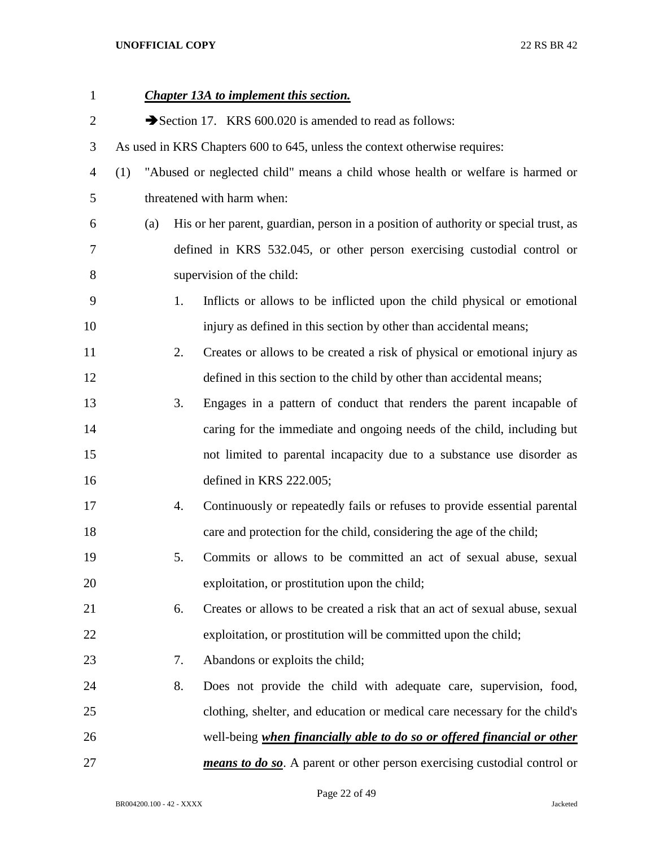| $\mathbf{1}$   |     |     |    | <b>Chapter 13A to implement this section.</b>                                       |
|----------------|-----|-----|----|-------------------------------------------------------------------------------------|
| $\overline{2}$ |     |     |    | Section 17. KRS 600.020 is amended to read as follows:                              |
| 3              |     |     |    | As used in KRS Chapters 600 to 645, unless the context otherwise requires:          |
| $\overline{4}$ | (1) |     |    | "Abused or neglected child" means a child whose health or welfare is harmed or      |
| 5              |     |     |    | threatened with harm when:                                                          |
| 6              |     | (a) |    | His or her parent, guardian, person in a position of authority or special trust, as |
| 7              |     |     |    | defined in KRS 532.045, or other person exercising custodial control or             |
| 8              |     |     |    | supervision of the child:                                                           |
| 9              |     |     | 1. | Inflicts or allows to be inflicted upon the child physical or emotional             |
| 10             |     |     |    | injury as defined in this section by other than accidental means;                   |
| 11             |     |     | 2. | Creates or allows to be created a risk of physical or emotional injury as           |
| 12             |     |     |    | defined in this section to the child by other than accidental means;                |
| 13             |     |     | 3. | Engages in a pattern of conduct that renders the parent incapable of                |
| 14             |     |     |    | caring for the immediate and ongoing needs of the child, including but              |
| 15             |     |     |    | not limited to parental incapacity due to a substance use disorder as               |
| 16             |     |     |    | defined in KRS 222.005;                                                             |
| 17             |     |     | 4. | Continuously or repeatedly fails or refuses to provide essential parental           |
| 18             |     |     |    | care and protection for the child, considering the age of the child;                |
| 19             |     |     | 5. | Commits or allows to be committed an act of sexual abuse, sexual                    |
| 20             |     |     |    | exploitation, or prostitution upon the child;                                       |
| 21             |     |     | 6. | Creates or allows to be created a risk that an act of sexual abuse, sexual          |
| 22             |     |     |    | exploitation, or prostitution will be committed upon the child;                     |
| 23             |     |     | 7. | Abandons or exploits the child;                                                     |
| 24             |     |     | 8. | Does not provide the child with adequate care, supervision, food,                   |
| 25             |     |     |    | clothing, shelter, and education or medical care necessary for the child's          |
| 26             |     |     |    | well-being when financially able to do so or offered financial or other             |
| 27             |     |     |    | means to do so. A parent or other person exercising custodial control or            |

Page 22 of 49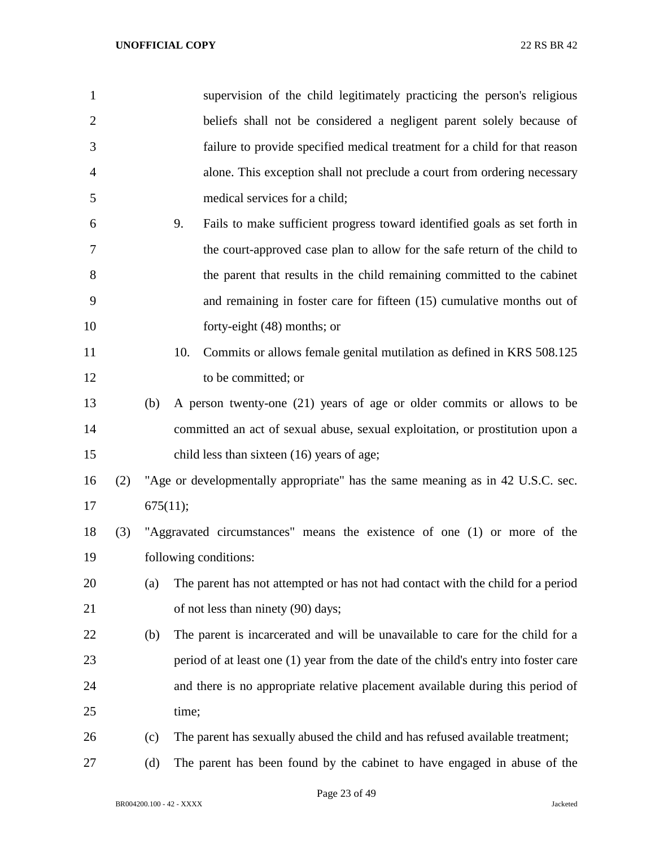| 1              |     |          |       | supervision of the child legitimately practicing the person's religious             |
|----------------|-----|----------|-------|-------------------------------------------------------------------------------------|
| $\overline{2}$ |     |          |       | beliefs shall not be considered a negligent parent solely because of                |
| 3              |     |          |       | failure to provide specified medical treatment for a child for that reason          |
| $\overline{4}$ |     |          |       | alone. This exception shall not preclude a court from ordering necessary            |
| 5              |     |          |       | medical services for a child;                                                       |
| 6              |     |          | 9.    | Fails to make sufficient progress toward identified goals as set forth in           |
| 7              |     |          |       | the court-approved case plan to allow for the safe return of the child to           |
| 8              |     |          |       | the parent that results in the child remaining committed to the cabinet             |
| 9              |     |          |       | and remaining in foster care for fifteen (15) cumulative months out of              |
| 10             |     |          |       | forty-eight (48) months; or                                                         |
| 11             |     |          | 10.   | Commits or allows female genital mutilation as defined in KRS 508.125               |
| 12             |     |          |       | to be committed; or                                                                 |
| 13             |     | (b)      |       | A person twenty-one (21) years of age or older commits or allows to be              |
| 14             |     |          |       | committed an act of sexual abuse, sexual exploitation, or prostitution upon a       |
| 15             |     |          |       | child less than sixteen (16) years of age;                                          |
| 16             | (2) |          |       | "Age or developmentally appropriate" has the same meaning as in 42 U.S.C. sec.      |
| 17             |     | 675(11); |       |                                                                                     |
| 18             | (3) |          |       | "Aggravated circumstances" means the existence of one (1) or more of the            |
| 19             |     |          |       | following conditions:                                                               |
| 20             |     | (a)      |       | The parent has not attempted or has not had contact with the child for a period     |
| 21             |     |          |       | of not less than ninety (90) days;                                                  |
| 22             |     | (b)      |       | The parent is incarcerated and will be unavailable to care for the child for a      |
| 23             |     |          |       | period of at least one (1) year from the date of the child's entry into foster care |
| 24             |     |          |       | and there is no appropriate relative placement available during this period of      |
| 25             |     |          | time; |                                                                                     |
| 26             |     | (c)      |       | The parent has sexually abused the child and has refused available treatment;       |
| 27             |     | (d)      |       | The parent has been found by the cabinet to have engaged in abuse of the            |

Page 23 of 49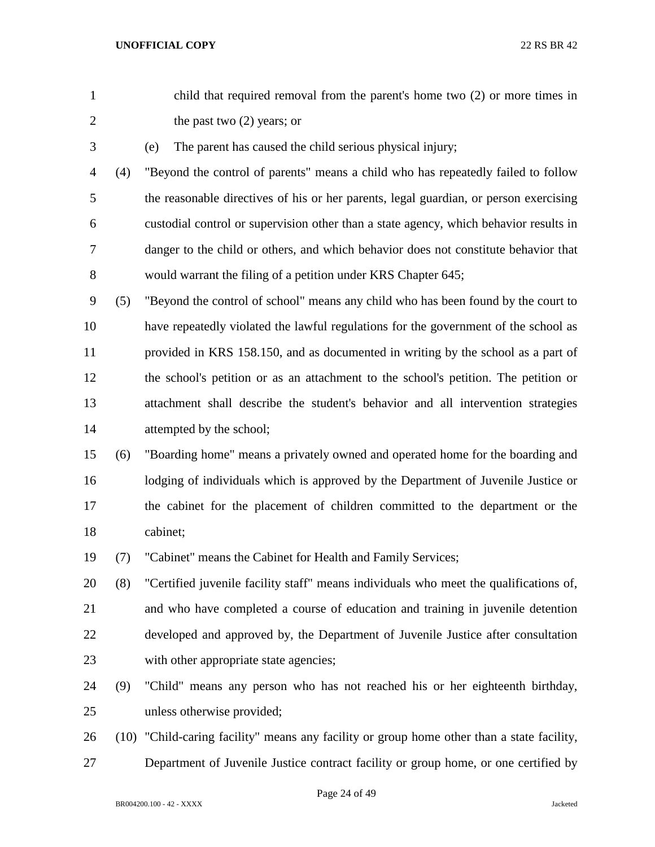| $\mathbf{1}$   |     | child that required removal from the parent's home two (2) or more times in                |
|----------------|-----|--------------------------------------------------------------------------------------------|
| $\overline{2}$ |     | the past two $(2)$ years; or                                                               |
| 3              |     | The parent has caused the child serious physical injury;<br>(e)                            |
| 4              | (4) | "Beyond the control of parents" means a child who has repeatedly failed to follow          |
| 5              |     | the reasonable directives of his or her parents, legal guardian, or person exercising      |
| 6              |     | custodial control or supervision other than a state agency, which behavior results in      |
| 7              |     | danger to the child or others, and which behavior does not constitute behavior that        |
| 8              |     | would warrant the filing of a petition under KRS Chapter 645;                              |
| 9              | (5) | "Beyond the control of school" means any child who has been found by the court to          |
| 10             |     | have repeatedly violated the lawful regulations for the government of the school as        |
| 11             |     | provided in KRS 158.150, and as documented in writing by the school as a part of           |
| 12             |     | the school's petition or as an attachment to the school's petition. The petition or        |
| 13             |     | attachment shall describe the student's behavior and all intervention strategies           |
| 14             |     | attempted by the school;                                                                   |
| 15             | (6) | "Boarding home" means a privately owned and operated home for the boarding and             |
| 16             |     | lodging of individuals which is approved by the Department of Juvenile Justice or          |
| 17             |     | the cabinet for the placement of children committed to the department or the               |
| 18             |     | cabinet;                                                                                   |
| 19             | (7) | "Cabinet" means the Cabinet for Health and Family Services;                                |
| 20             | (8) | "Certified juvenile facility staff" means individuals who meet the qualifications of,      |
| 21             |     | and who have completed a course of education and training in juvenile detention            |
| 22             |     | developed and approved by, the Department of Juvenile Justice after consultation           |
| 23             |     | with other appropriate state agencies;                                                     |
| 24             | (9) | "Child" means any person who has not reached his or her eighteenth birthday,               |
| 25             |     | unless otherwise provided;                                                                 |
| 26             |     | (10) "Child-caring facility" means any facility or group home other than a state facility, |
| 27             |     | Department of Juvenile Justice contract facility or group home, or one certified by        |
|                |     |                                                                                            |

Page 24 of 49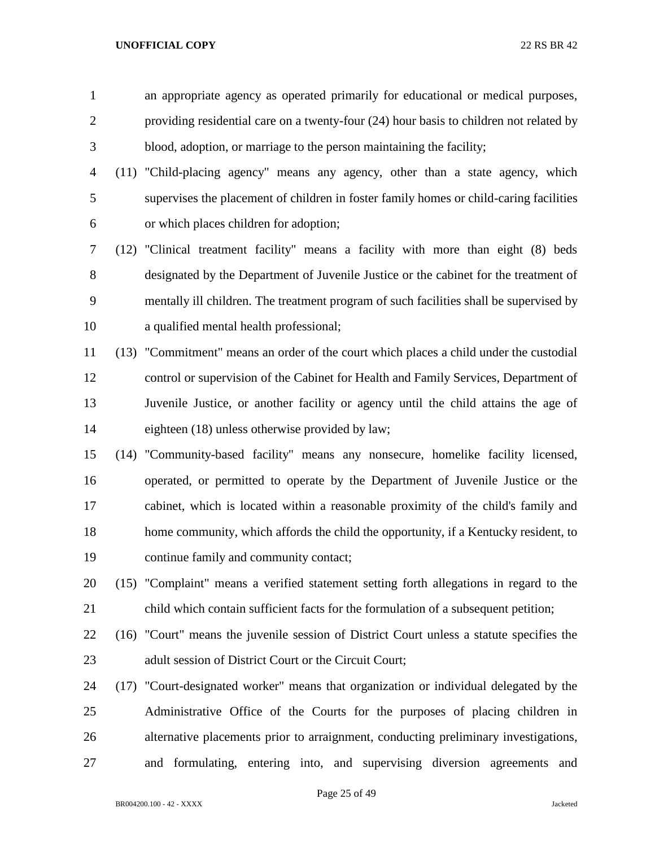an appropriate agency as operated primarily for educational or medical purposes, providing residential care on a twenty-four (24) hour basis to children not related by blood, adoption, or marriage to the person maintaining the facility;

- (11) "Child-placing agency" means any agency, other than a state agency, which supervises the placement of children in foster family homes or child-caring facilities or which places children for adoption;
- (12) "Clinical treatment facility" means a facility with more than eight (8) beds designated by the Department of Juvenile Justice or the cabinet for the treatment of mentally ill children. The treatment program of such facilities shall be supervised by a qualified mental health professional;
- (13) "Commitment" means an order of the court which places a child under the custodial control or supervision of the Cabinet for Health and Family Services, Department of Juvenile Justice, or another facility or agency until the child attains the age of eighteen (18) unless otherwise provided by law;
- (14) "Community-based facility" means any nonsecure, homelike facility licensed, operated, or permitted to operate by the Department of Juvenile Justice or the cabinet, which is located within a reasonable proximity of the child's family and home community, which affords the child the opportunity, if a Kentucky resident, to continue family and community contact;
- (15) "Complaint" means a verified statement setting forth allegations in regard to the child which contain sufficient facts for the formulation of a subsequent petition;
- (16) "Court" means the juvenile session of District Court unless a statute specifies the 23 adult session of District Court or the Circuit Court:
- (17) "Court-designated worker" means that organization or individual delegated by the Administrative Office of the Courts for the purposes of placing children in alternative placements prior to arraignment, conducting preliminary investigations, and formulating, entering into, and supervising diversion agreements and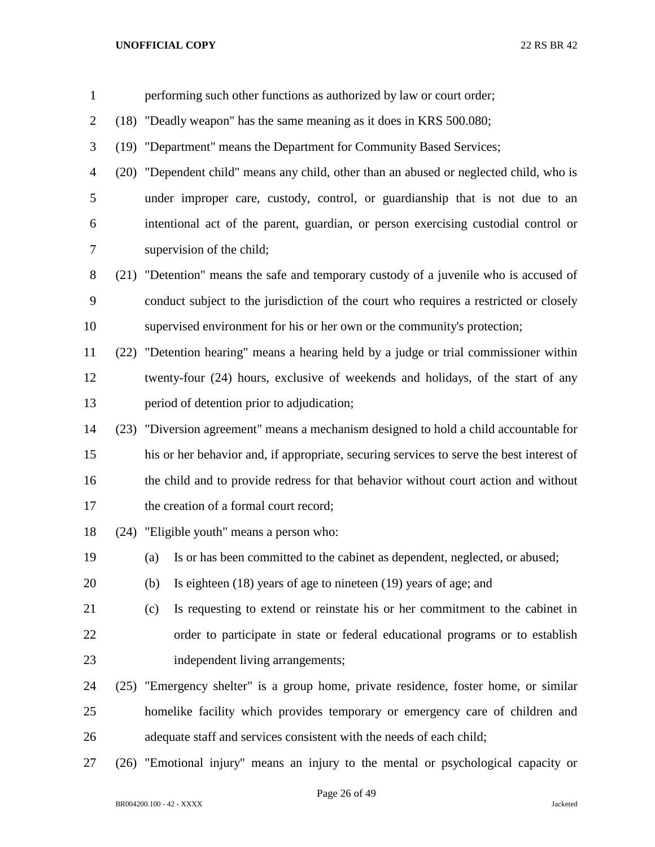| $\mathbf{1}$   | performing such other functions as authorized by law or court order;                     |  |  |
|----------------|------------------------------------------------------------------------------------------|--|--|
| $\overline{2}$ | (18) "Deadly weapon" has the same meaning as it does in KRS 500.080;                     |  |  |
| 3              | (19) "Department" means the Department for Community Based Services;                     |  |  |
| 4              | (20) "Dependent child" means any child, other than an abused or neglected child, who is  |  |  |
| 5              | under improper care, custody, control, or guardianship that is not due to an             |  |  |
| 6              | intentional act of the parent, guardian, or person exercising custodial control or       |  |  |
| 7              | supervision of the child;                                                                |  |  |
| 8              | (21) "Detention" means the safe and temporary custody of a juvenile who is accused of    |  |  |
| 9              | conduct subject to the jurisdiction of the court who requires a restricted or closely    |  |  |
| 10             | supervised environment for his or her own or the community's protection;                 |  |  |
| 11             | (22) "Detention hearing" means a hearing held by a judge or trial commissioner within    |  |  |
| 12             | twenty-four (24) hours, exclusive of weekends and holidays, of the start of any          |  |  |
| 13             | period of detention prior to adjudication;                                               |  |  |
| 14             | (23) "Diversion agreement" means a mechanism designed to hold a child accountable for    |  |  |
| 15             | his or her behavior and, if appropriate, securing services to serve the best interest of |  |  |
| 16             | the child and to provide redress for that behavior without court action and without      |  |  |
| 17             | the creation of a formal court record;                                                   |  |  |
| 18             | (24) "Eligible youth" means a person who:                                                |  |  |
| 19             | Is or has been committed to the cabinet as dependent, neglected, or abused;<br>(a)       |  |  |
| 20             | Is eighteen $(18)$ years of age to nineteen $(19)$ years of age; and<br>(b)              |  |  |
| 21             | Is requesting to extend or reinstate his or her commitment to the cabinet in<br>(c)      |  |  |
| 22             | order to participate in state or federal educational programs or to establish            |  |  |
| 23             | independent living arrangements;                                                         |  |  |
| 24             | (25) "Emergency shelter" is a group home, private residence, foster home, or similar     |  |  |
| 25             | homelike facility which provides temporary or emergency care of children and             |  |  |
| 26             | adequate staff and services consistent with the needs of each child;                     |  |  |
| 27             | (26) "Emotional injury" means an injury to the mental or psychological capacity or       |  |  |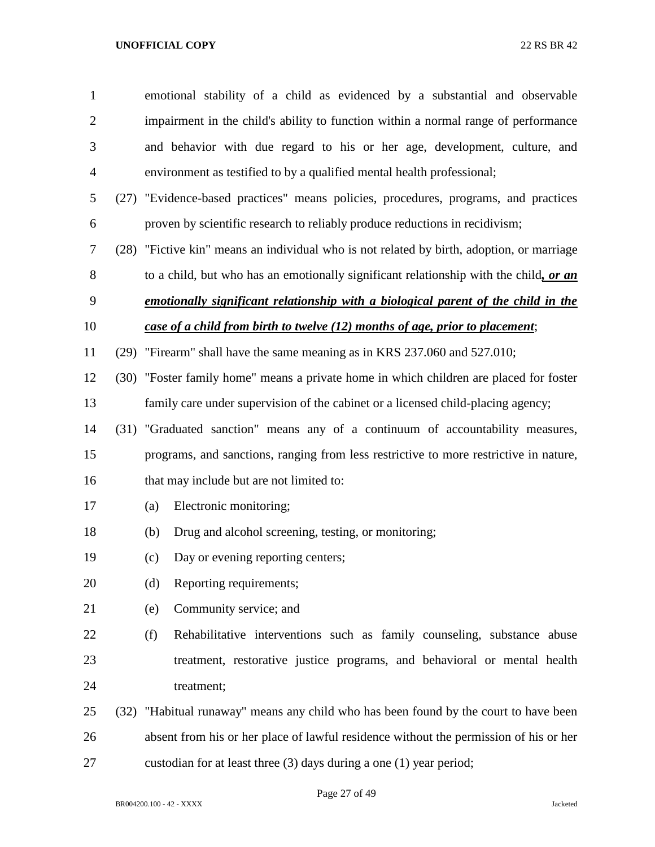| $\mathbf{1}$   | emotional stability of a child as evidenced by a substantial and observable               |  |  |
|----------------|-------------------------------------------------------------------------------------------|--|--|
| $\overline{2}$ | impairment in the child's ability to function within a normal range of performance        |  |  |
| 3              | and behavior with due regard to his or her age, development, culture, and                 |  |  |
| $\overline{4}$ | environment as testified to by a qualified mental health professional;                    |  |  |
| 5              | (27) "Evidence-based practices" means policies, procedures, programs, and practices       |  |  |
| 6              | proven by scientific research to reliably produce reductions in recidivism;               |  |  |
| $\tau$         | (28) "Fictive kin" means an individual who is not related by birth, adoption, or marriage |  |  |
| 8              | to a child, but who has an emotionally significant relationship with the child, or an     |  |  |
| 9              | emotionally significant relationship with a biological parent of the child in the         |  |  |
| 10             | case of a child from birth to twelve (12) months of age, prior to placement;              |  |  |
| 11             | (29) "Firearm" shall have the same meaning as in KRS 237.060 and 527.010;                 |  |  |
| 12             | (30) "Foster family home" means a private home in which children are placed for foster    |  |  |
| 13             | family care under supervision of the cabinet or a licensed child-placing agency;          |  |  |
| 14             | (31) "Graduated sanction" means any of a continuum of accountability measures,            |  |  |
| 15             | programs, and sanctions, ranging from less restrictive to more restrictive in nature,     |  |  |
| 16             | that may include but are not limited to:                                                  |  |  |
| 17             | Electronic monitoring;<br>(a)                                                             |  |  |
| 18             | Drug and alcohol screening, testing, or monitoring;<br>(b)                                |  |  |
| 19             | Day or evening reporting centers;<br>(c)                                                  |  |  |
| 20             | Reporting requirements;<br>(d)                                                            |  |  |
| 21             | Community service; and<br>(e)                                                             |  |  |
| 22             | Rehabilitative interventions such as family counseling, substance abuse<br>(f)            |  |  |
| 23             | treatment, restorative justice programs, and behavioral or mental health                  |  |  |
| 24             | treatment;                                                                                |  |  |
| 25             | (32) "Habitual runaway" means any child who has been found by the court to have been      |  |  |
| 26             | absent from his or her place of lawful residence without the permission of his or her     |  |  |
| 27             | custodian for at least three (3) days during a one (1) year period;                       |  |  |

Page 27 of 49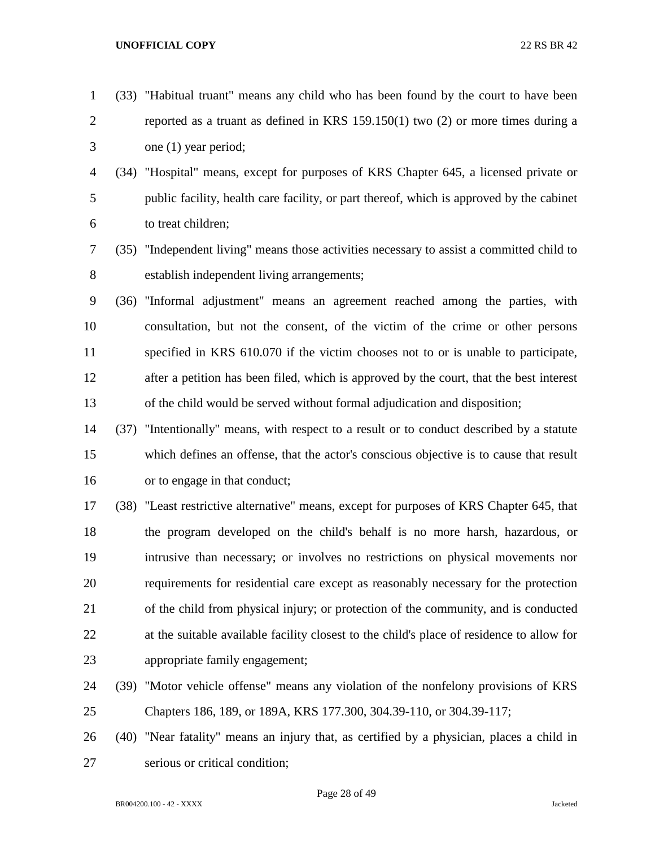- (33) "Habitual truant" means any child who has been found by the court to have been reported as a truant as defined in KRS 159.150(1) two (2) or more times during a one (1) year period;
- (34) "Hospital" means, except for purposes of KRS Chapter 645, a licensed private or public facility, health care facility, or part thereof, which is approved by the cabinet to treat children;
- (35) "Independent living" means those activities necessary to assist a committed child to establish independent living arrangements;
- (36) "Informal adjustment" means an agreement reached among the parties, with consultation, but not the consent, of the victim of the crime or other persons specified in KRS 610.070 if the victim chooses not to or is unable to participate, after a petition has been filed, which is approved by the court, that the best interest of the child would be served without formal adjudication and disposition;
- (37) "Intentionally" means, with respect to a result or to conduct described by a statute which defines an offense, that the actor's conscious objective is to cause that result or to engage in that conduct;
- (38) "Least restrictive alternative" means, except for purposes of KRS Chapter 645, that the program developed on the child's behalf is no more harsh, hazardous, or intrusive than necessary; or involves no restrictions on physical movements nor requirements for residential care except as reasonably necessary for the protection of the child from physical injury; or protection of the community, and is conducted at the suitable available facility closest to the child's place of residence to allow for appropriate family engagement;
- (39) "Motor vehicle offense" means any violation of the nonfelony provisions of KRS Chapters 186, 189, or 189A, KRS 177.300, 304.39-110, or 304.39-117;
- (40) "Near fatality" means an injury that, as certified by a physician, places a child in serious or critical condition;

Page 28 of 49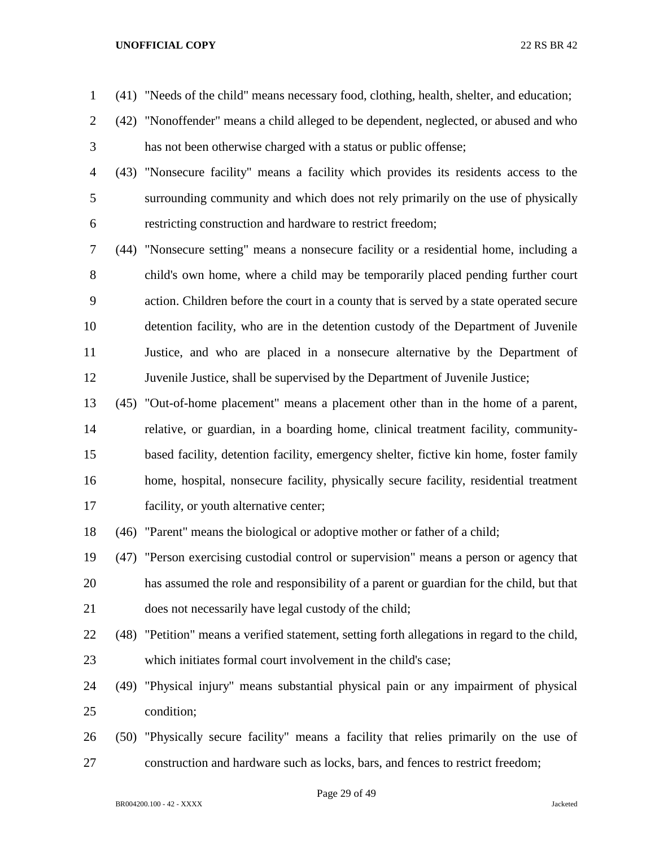- (41) "Needs of the child" means necessary food, clothing, health, shelter, and education;
- (42) "Nonoffender" means a child alleged to be dependent, neglected, or abused and who has not been otherwise charged with a status or public offense;
- (43) "Nonsecure facility" means a facility which provides its residents access to the surrounding community and which does not rely primarily on the use of physically restricting construction and hardware to restrict freedom;
- (44) "Nonsecure setting" means a nonsecure facility or a residential home, including a child's own home, where a child may be temporarily placed pending further court action. Children before the court in a county that is served by a state operated secure detention facility, who are in the detention custody of the Department of Juvenile Justice, and who are placed in a nonsecure alternative by the Department of Juvenile Justice, shall be supervised by the Department of Juvenile Justice;
- (45) "Out-of-home placement" means a placement other than in the home of a parent, relative, or guardian, in a boarding home, clinical treatment facility, community- based facility, detention facility, emergency shelter, fictive kin home, foster family home, hospital, nonsecure facility, physically secure facility, residential treatment facility, or youth alternative center;
- (46) "Parent" means the biological or adoptive mother or father of a child;
- (47) "Person exercising custodial control or supervision" means a person or agency that has assumed the role and responsibility of a parent or guardian for the child, but that does not necessarily have legal custody of the child;
- (48) "Petition" means a verified statement, setting forth allegations in regard to the child, which initiates formal court involvement in the child's case;
- (49) "Physical injury" means substantial physical pain or any impairment of physical condition;
- (50) "Physically secure facility" means a facility that relies primarily on the use of construction and hardware such as locks, bars, and fences to restrict freedom;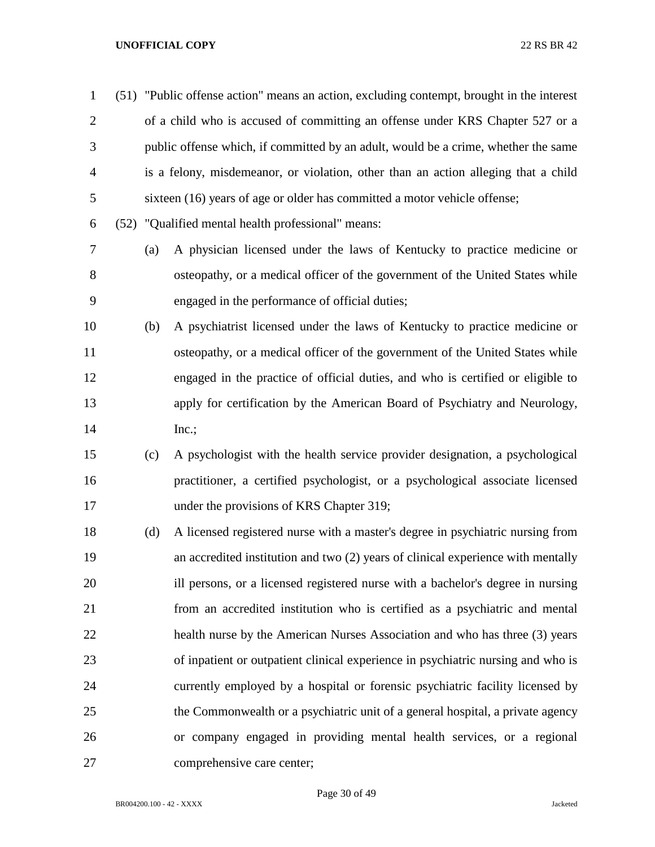(51) "Public offense action" means an action, excluding contempt, brought in the interest of a child who is accused of committing an offense under KRS Chapter 527 or a public offense which, if committed by an adult, would be a crime, whether the same is a felony, misdemeanor, or violation, other than an action alleging that a child sixteen (16) years of age or older has committed a motor vehicle offense;

(52) "Qualified mental health professional" means:

- (a) A physician licensed under the laws of Kentucky to practice medicine or osteopathy, or a medical officer of the government of the United States while engaged in the performance of official duties;
- (b) A psychiatrist licensed under the laws of Kentucky to practice medicine or osteopathy, or a medical officer of the government of the United States while engaged in the practice of official duties, and who is certified or eligible to apply for certification by the American Board of Psychiatry and Neurology, 14 Inc.;
- (c) A psychologist with the health service provider designation, a psychological practitioner, a certified psychologist, or a psychological associate licensed 17 under the provisions of KRS Chapter 319;
- (d) A licensed registered nurse with a master's degree in psychiatric nursing from an accredited institution and two (2) years of clinical experience with mentally ill persons, or a licensed registered nurse with a bachelor's degree in nursing from an accredited institution who is certified as a psychiatric and mental health nurse by the American Nurses Association and who has three (3) years of inpatient or outpatient clinical experience in psychiatric nursing and who is currently employed by a hospital or forensic psychiatric facility licensed by the Commonwealth or a psychiatric unit of a general hospital, a private agency or company engaged in providing mental health services, or a regional comprehensive care center;

Page 30 of 49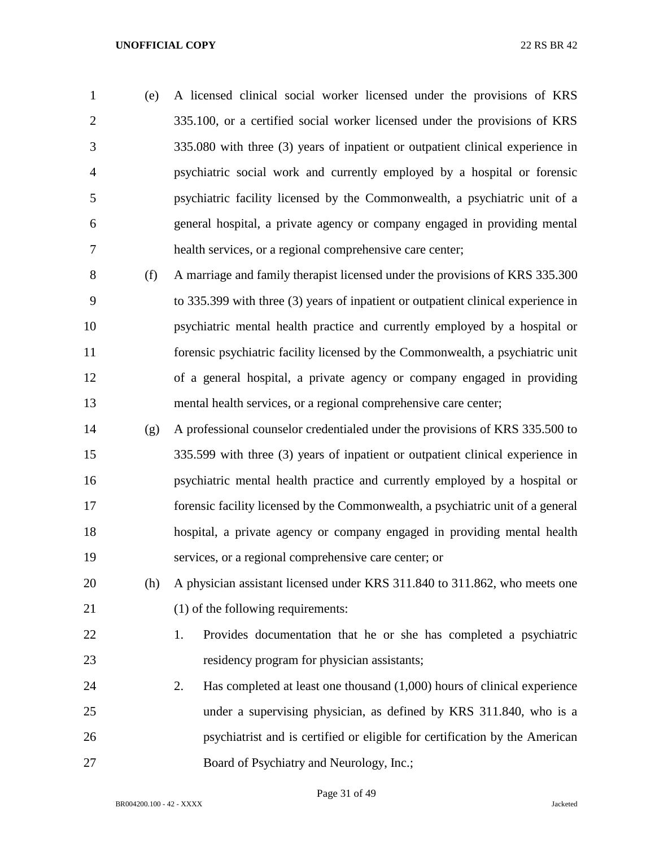(e) A licensed clinical social worker licensed under the provisions of KRS 335.100, or a certified social worker licensed under the provisions of KRS 335.080 with three (3) years of inpatient or outpatient clinical experience in psychiatric social work and currently employed by a hospital or forensic psychiatric facility licensed by the Commonwealth, a psychiatric unit of a general hospital, a private agency or company engaged in providing mental health services, or a regional comprehensive care center;

 (f) A marriage and family therapist licensed under the provisions of KRS 335.300 to 335.399 with three (3) years of inpatient or outpatient clinical experience in psychiatric mental health practice and currently employed by a hospital or forensic psychiatric facility licensed by the Commonwealth, a psychiatric unit of a general hospital, a private agency or company engaged in providing mental health services, or a regional comprehensive care center;

 (g) A professional counselor credentialed under the provisions of KRS 335.500 to 335.599 with three (3) years of inpatient or outpatient clinical experience in psychiatric mental health practice and currently employed by a hospital or forensic facility licensed by the Commonwealth, a psychiatric unit of a general hospital, a private agency or company engaged in providing mental health services, or a regional comprehensive care center; or

 (h) A physician assistant licensed under KRS 311.840 to 311.862, who meets one 21 (1) of the following requirements:

 1. Provides documentation that he or she has completed a psychiatric residency program for physician assistants;

 2. Has completed at least one thousand (1,000) hours of clinical experience under a supervising physician, as defined by KRS 311.840, who is a psychiatrist and is certified or eligible for certification by the American 27 Board of Psychiatry and Neurology, Inc.;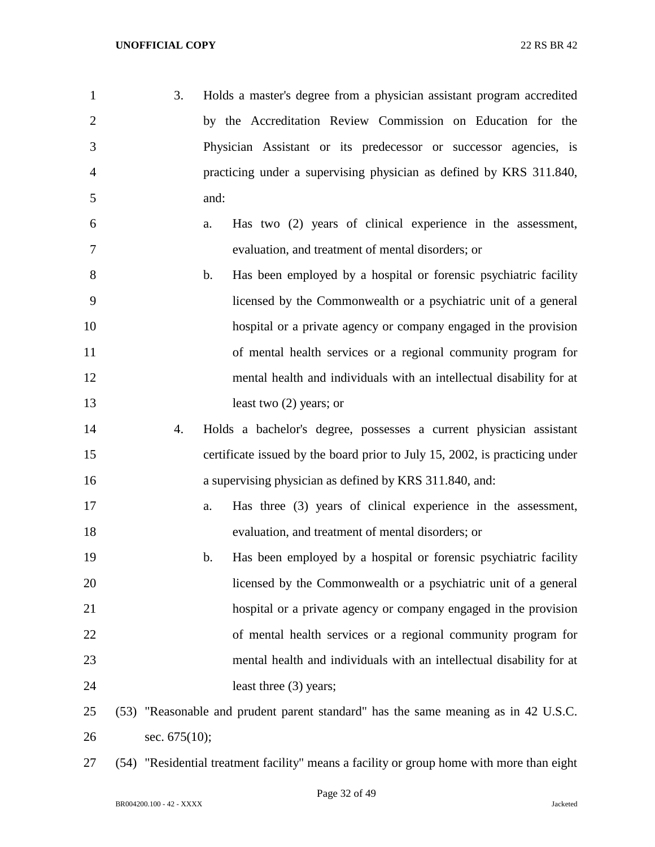| 1              | 3.               | Holds a master's degree from a physician assistant program accredited              |
|----------------|------------------|------------------------------------------------------------------------------------|
| $\overline{2}$ |                  | by the Accreditation Review Commission on Education for the                        |
| 3              |                  | Physician Assistant or its predecessor or successor agencies, is                   |
| 4              |                  | practicing under a supervising physician as defined by KRS 311.840,                |
| 5              |                  | and:                                                                               |
| 6              |                  | Has two (2) years of clinical experience in the assessment,<br>a.                  |
| 7              |                  | evaluation, and treatment of mental disorders; or                                  |
| 8              |                  | Has been employed by a hospital or forensic psychiatric facility<br>$\mathbf b$ .  |
| 9              |                  | licensed by the Commonwealth or a psychiatric unit of a general                    |
| 10             |                  | hospital or a private agency or company engaged in the provision                   |
| 11             |                  | of mental health services or a regional community program for                      |
| 12             |                  | mental health and individuals with an intellectual disability for at               |
| 13             |                  | least two $(2)$ years; or                                                          |
| 14             | 4.               | Holds a bachelor's degree, possesses a current physician assistant                 |
| 15             |                  | certificate issued by the board prior to July 15, 2002, is practicing under        |
| 16             |                  | a supervising physician as defined by KRS 311.840, and:                            |
| 17             |                  | Has three (3) years of clinical experience in the assessment,<br>a.                |
| 18             |                  | evaluation, and treatment of mental disorders; or                                  |
| 19             |                  | b.<br>Has been employed by a hospital or forensic psychiatric facility             |
| 20             |                  | licensed by the Commonwealth or a psychiatric unit of a general                    |
| 21             |                  | hospital or a private agency or company engaged in the provision                   |
| 22             |                  | of mental health services or a regional community program for                      |
| 23             |                  | mental health and individuals with an intellectual disability for at               |
| 24             |                  | least three (3) years;                                                             |
| 25             |                  | (53) "Reasonable and prudent parent standard" has the same meaning as in 42 U.S.C. |
| 26             | sec. $675(10)$ ; |                                                                                    |

(54) "Residential treatment facility" means a facility or group home with more than eight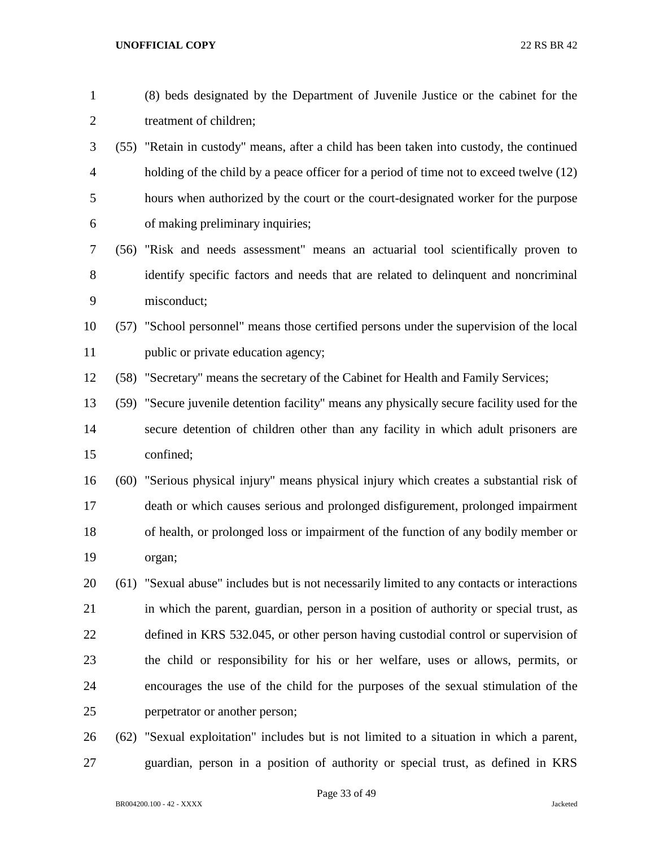| $\mathbf{1}$   |      | (8) beds designated by the Department of Juvenile Justice or the cabinet for the            |
|----------------|------|---------------------------------------------------------------------------------------------|
| $\overline{2}$ |      | treatment of children;                                                                      |
| 3              |      | (55) "Retain in custody" means, after a child has been taken into custody, the continued    |
| $\overline{4}$ |      | holding of the child by a peace officer for a period of time not to exceed twelve (12)      |
| 5              |      | hours when authorized by the court or the court-designated worker for the purpose           |
| 6              |      | of making preliminary inquiries;                                                            |
| 7              |      | (56) "Risk and needs assessment" means an actuarial tool scientifically proven to           |
| 8              |      | identify specific factors and needs that are related to delinquent and noncriminal          |
| 9              |      | misconduct;                                                                                 |
| 10             |      | (57) "School personnel" means those certified persons under the supervision of the local    |
| 11             |      | public or private education agency;                                                         |
| 12             |      | (58) "Secretary" means the secretary of the Cabinet for Health and Family Services;         |
| 13             |      | (59) "Secure juvenile detention facility" means any physically secure facility used for the |
| 14             |      | secure detention of children other than any facility in which adult prisoners are           |
| 15             |      | confined;                                                                                   |
| 16             |      | (60) "Serious physical injury" means physical injury which creates a substantial risk of    |
| 17             |      | death or which causes serious and prolonged disfigurement, prolonged impairment             |
| 18             |      | of health, or prolonged loss or impairment of the function of any bodily member or          |
| 19             |      | organ;                                                                                      |
| 20             |      | (61) "Sexual abuse" includes but is not necessarily limited to any contacts or interactions |
| 21             |      | in which the parent, guardian, person in a position of authority or special trust, as       |
| 22             |      | defined in KRS 532.045, or other person having custodial control or supervision of          |
| 23             |      | the child or responsibility for his or her welfare, uses or allows, permits, or             |
| 24             |      | encourages the use of the child for the purposes of the sexual stimulation of the           |
| 25             |      | perpetrator or another person;                                                              |
| 26             | (62) | "Sexual exploitation" includes but is not limited to a situation in which a parent,         |

guardian, person in a position of authority or special trust, as defined in KRS

Page 33 of 49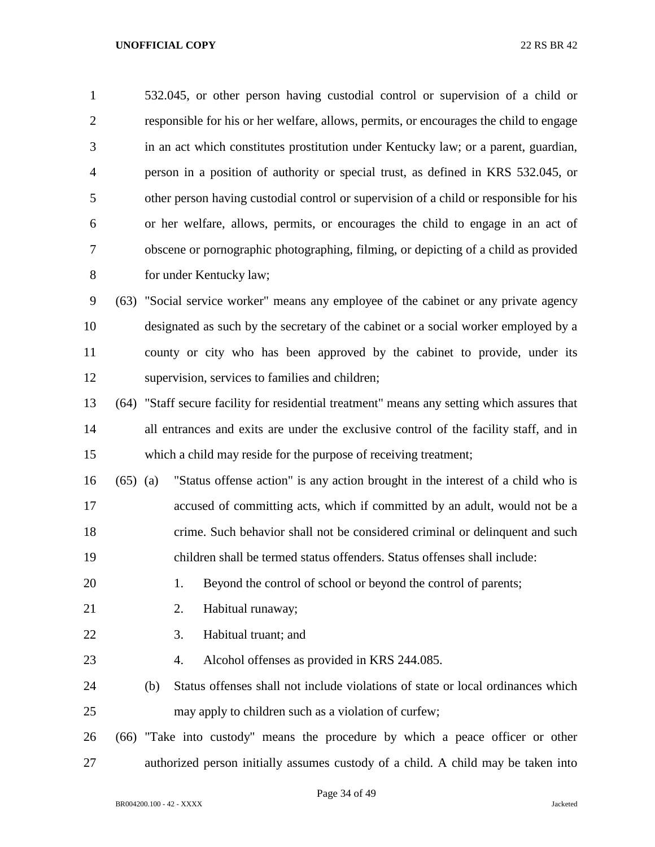532.045, or other person having custodial control or supervision of a child or responsible for his or her welfare, allows, permits, or encourages the child to engage in an act which constitutes prostitution under Kentucky law; or a parent, guardian, person in a position of authority or special trust, as defined in KRS 532.045, or other person having custodial control or supervision of a child or responsible for his or her welfare, allows, permits, or encourages the child to engage in an act of obscene or pornographic photographing, filming, or depicting of a child as provided for under Kentucky law; (63) "Social service worker" means any employee of the cabinet or any private agency designated as such by the secretary of the cabinet or a social worker employed by a county or city who has been approved by the cabinet to provide, under its supervision, services to families and children; (64) "Staff secure facility for residential treatment" means any setting which assures that 14 all entrances and exits are under the exclusive control of the facility staff, and in which a child may reside for the purpose of receiving treatment; (65) (a) "Status offense action" is any action brought in the interest of a child who is accused of committing acts, which if committed by an adult, would not be a crime. Such behavior shall not be considered criminal or delinquent and such children shall be termed status offenders. Status offenses shall include: 20 1. Beyond the control of school or beyond the control of parents; 21 2. Habitual runaway; 3. Habitual truant; and 4. Alcohol offenses as provided in KRS 244.085. (b) Status offenses shall not include violations of state or local ordinances which may apply to children such as a violation of curfew; (66) "Take into custody" means the procedure by which a peace officer or other authorized person initially assumes custody of a child. A child may be taken into

## Page 34 of 49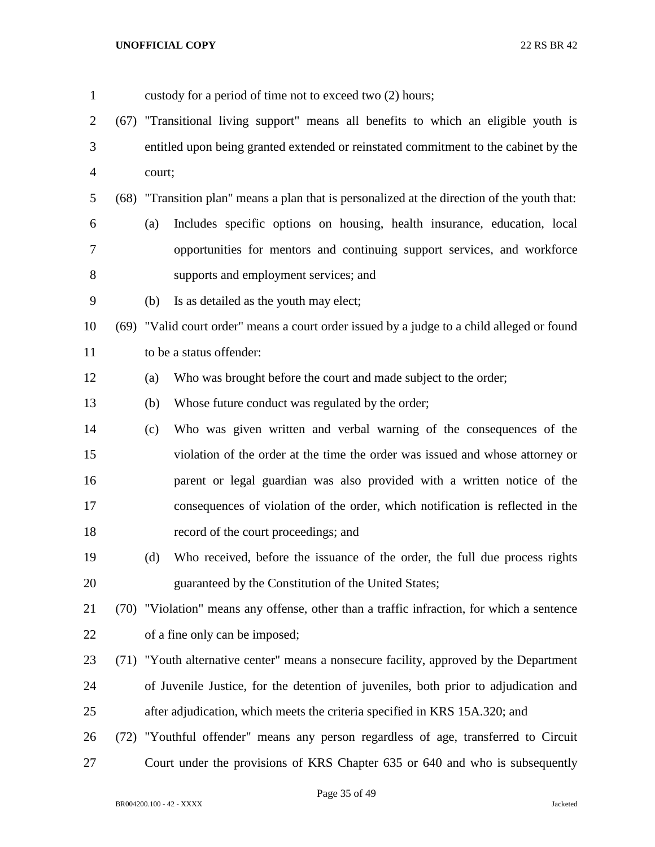| $\mathbf{1}$   | custody for a period of time not to exceed two (2) hours;                                    |  |  |
|----------------|----------------------------------------------------------------------------------------------|--|--|
| $\overline{2}$ | (67) "Transitional living support" means all benefits to which an eligible youth is          |  |  |
| 3              | entitled upon being granted extended or reinstated commitment to the cabinet by the          |  |  |
| $\overline{4}$ | court;                                                                                       |  |  |
| 5              | (68) "Transition plan" means a plan that is personalized at the direction of the youth that: |  |  |
| 6              | Includes specific options on housing, health insurance, education, local<br>(a)              |  |  |
| 7              | opportunities for mentors and continuing support services, and workforce                     |  |  |
| 8              | supports and employment services; and                                                        |  |  |
| 9              | Is as detailed as the youth may elect;<br>(b)                                                |  |  |
| 10             | (69) "Valid court order" means a court order issued by a judge to a child alleged or found   |  |  |
| 11             | to be a status offender:                                                                     |  |  |
| 12             | Who was brought before the court and made subject to the order;<br>(a)                       |  |  |
| 13             | Whose future conduct was regulated by the order;<br>(b)                                      |  |  |
| 14             | Who was given written and verbal warning of the consequences of the<br>(c)                   |  |  |
| 15             | violation of the order at the time the order was issued and whose attorney or                |  |  |
| 16             | parent or legal guardian was also provided with a written notice of the                      |  |  |
| 17             | consequences of violation of the order, which notification is reflected in the               |  |  |
| 18             | record of the court proceedings; and                                                         |  |  |
| 19             | Who received, before the issuance of the order, the full due process rights<br>(d)           |  |  |
| 20             | guaranteed by the Constitution of the United States;                                         |  |  |
| 21             | (70) "Violation" means any offense, other than a traffic infraction, for which a sentence    |  |  |
| 22             | of a fine only can be imposed;                                                               |  |  |
| 23             | (71) "Youth alternative center" means a nonsecure facility, approved by the Department       |  |  |
| 24             | of Juvenile Justice, for the detention of juveniles, both prior to adjudication and          |  |  |
| 25             | after adjudication, which meets the criteria specified in KRS 15A.320; and                   |  |  |
| 26             | (72) "Youthful offender" means any person regardless of age, transferred to Circuit          |  |  |
| 27             | Court under the provisions of KRS Chapter 635 or 640 and who is subsequently                 |  |  |

Page 35 of 49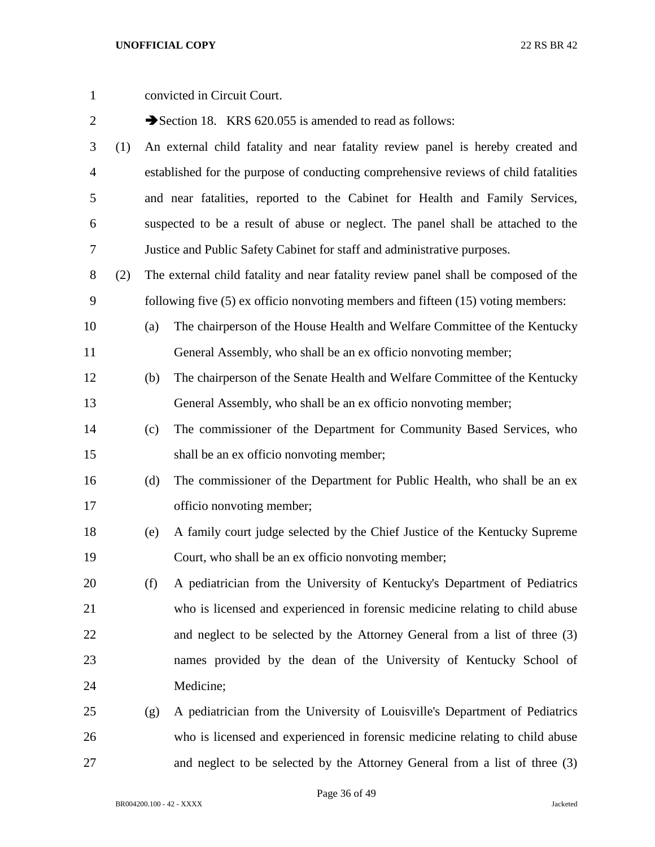| $\mathbf{1}$   |     |     | convicted in Circuit Court.                                                          |
|----------------|-----|-----|--------------------------------------------------------------------------------------|
| $\overline{2}$ |     |     | Section 18. KRS 620.055 is amended to read as follows:                               |
| 3              | (1) |     | An external child fatality and near fatality review panel is hereby created and      |
| $\overline{4}$ |     |     | established for the purpose of conducting comprehensive reviews of child fatalities  |
| 5              |     |     | and near fatalities, reported to the Cabinet for Health and Family Services,         |
| 6              |     |     | suspected to be a result of abuse or neglect. The panel shall be attached to the     |
| 7              |     |     | Justice and Public Safety Cabinet for staff and administrative purposes.             |
| $8\,$          | (2) |     | The external child fatality and near fatality review panel shall be composed of the  |
| 9              |     |     | following five $(5)$ ex officio nonvoting members and fifteen $(15)$ voting members: |
| 10             |     | (a) | The chairperson of the House Health and Welfare Committee of the Kentucky            |
| 11             |     |     | General Assembly, who shall be an ex officio nonvoting member;                       |
| 12             |     | (b) | The chairperson of the Senate Health and Welfare Committee of the Kentucky           |
| 13             |     |     | General Assembly, who shall be an ex officio nonvoting member;                       |
| 14             |     | (c) | The commissioner of the Department for Community Based Services, who                 |
| 15             |     |     | shall be an ex officio nonvoting member;                                             |
| 16             |     | (d) | The commissioner of the Department for Public Health, who shall be an ex             |
| 17             |     |     | officio nonvoting member;                                                            |
| 18             |     | (e) | A family court judge selected by the Chief Justice of the Kentucky Supreme           |
| 19             |     |     | Court, who shall be an ex officio nonvoting member;                                  |
| 20             |     | (f) | A pediatrician from the University of Kentucky's Department of Pediatrics            |
| 21             |     |     | who is licensed and experienced in forensic medicine relating to child abuse         |
| 22             |     |     | and neglect to be selected by the Attorney General from a list of three (3)          |
| 23             |     |     | names provided by the dean of the University of Kentucky School of                   |
| 24             |     |     | Medicine;                                                                            |
| 25             |     | (g) | A pediatrician from the University of Louisville's Department of Pediatrics          |
| 26             |     |     | who is licensed and experienced in forensic medicine relating to child abuse         |
| 27             |     |     | and neglect to be selected by the Attorney General from a list of three (3)          |

Page 36 of 49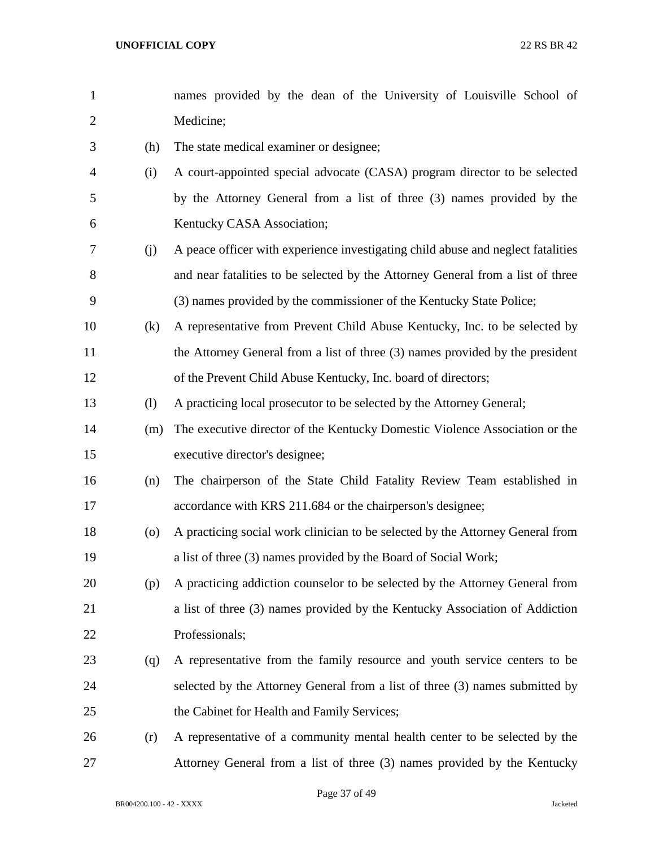| $\mathbf{1}$   |                    | names provided by the dean of the University of Louisville School of             |
|----------------|--------------------|----------------------------------------------------------------------------------|
| $\overline{2}$ |                    | Medicine;                                                                        |
| 3              | (h)                | The state medical examiner or designee;                                          |
| 4              | (i)                | A court-appointed special advocate (CASA) program director to be selected        |
| 5              |                    | by the Attorney General from a list of three (3) names provided by the           |
| 6              |                    | Kentucky CASA Association;                                                       |
| 7              | (j)                | A peace officer with experience investigating child abuse and neglect fatalities |
| 8              |                    | and near fatalities to be selected by the Attorney General from a list of three  |
| 9              |                    | (3) names provided by the commissioner of the Kentucky State Police;             |
| 10             | (k)                | A representative from Prevent Child Abuse Kentucky, Inc. to be selected by       |
| 11             |                    | the Attorney General from a list of three (3) names provided by the president    |
| 12             |                    | of the Prevent Child Abuse Kentucky, Inc. board of directors;                    |
| 13             | (1)                | A practicing local prosecutor to be selected by the Attorney General;            |
| 14             | (m)                | The executive director of the Kentucky Domestic Violence Association or the      |
| 15             |                    | executive director's designee;                                                   |
| 16             | (n)                | The chairperson of the State Child Fatality Review Team established in           |
| 17             |                    | accordance with KRS 211.684 or the chairperson's designee;                       |
| 18             | $\left( 0 \right)$ | A practicing social work clinician to be selected by the Attorney General from   |
| 19             |                    | a list of three (3) names provided by the Board of Social Work;                  |
| 20             | (p)                | A practicing addiction counselor to be selected by the Attorney General from     |
| 21             |                    | a list of three (3) names provided by the Kentucky Association of Addiction      |
| 22             |                    | Professionals;                                                                   |
| 23             | (q)                | A representative from the family resource and youth service centers to be        |
| 24             |                    | selected by the Attorney General from a list of three (3) names submitted by     |
| 25             |                    | the Cabinet for Health and Family Services;                                      |
| 26             | (r)                | A representative of a community mental health center to be selected by the       |
| 27             |                    | Attorney General from a list of three (3) names provided by the Kentucky         |

Page 37 of 49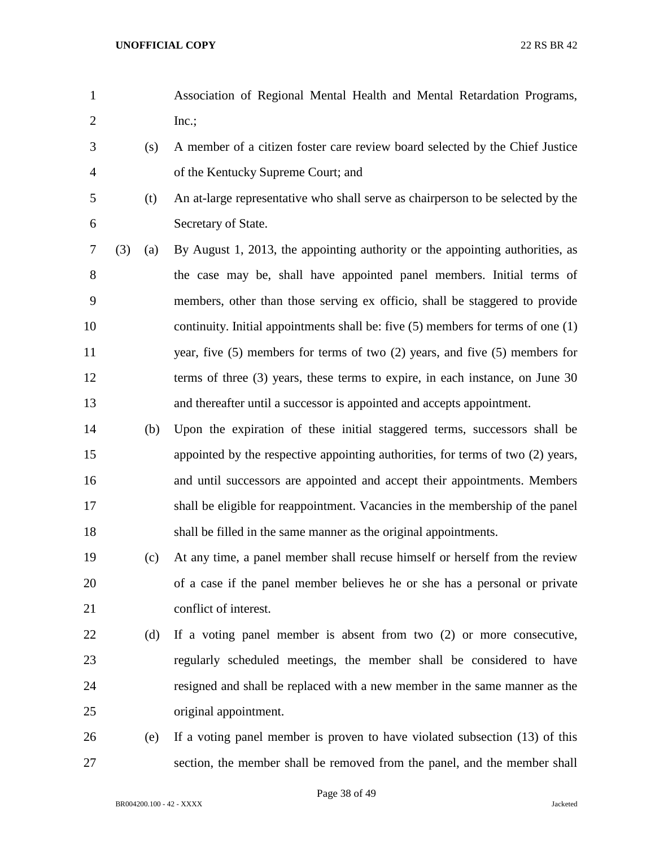- Association of Regional Mental Health and Mental Retardation Programs, Inc.;
- (s) A member of a citizen foster care review board selected by the Chief Justice of the Kentucky Supreme Court; and
- 

 (t) An at-large representative who shall serve as chairperson to be selected by the Secretary of State.

- (3) (a) By August 1, 2013, the appointing authority or the appointing authorities, as the case may be, shall have appointed panel members. Initial terms of members, other than those serving ex officio, shall be staggered to provide 10 continuity. Initial appointments shall be: five (5) members for terms of one (1) year, five (5) members for terms of two (2) years, and five (5) members for 12 terms of three (3) years, these terms to expire, in each instance, on June 30 and thereafter until a successor is appointed and accepts appointment.
- (b) Upon the expiration of these initial staggered terms, successors shall be appointed by the respective appointing authorities, for terms of two (2) years, and until successors are appointed and accept their appointments. Members shall be eligible for reappointment. Vacancies in the membership of the panel shall be filled in the same manner as the original appointments.

## (c) At any time, a panel member shall recuse himself or herself from the review of a case if the panel member believes he or she has a personal or private conflict of interest.

# (d) If a voting panel member is absent from two (2) or more consecutive, regularly scheduled meetings, the member shall be considered to have resigned and shall be replaced with a new member in the same manner as the original appointment.

 (e) If a voting panel member is proven to have violated subsection (13) of this section, the member shall be removed from the panel, and the member shall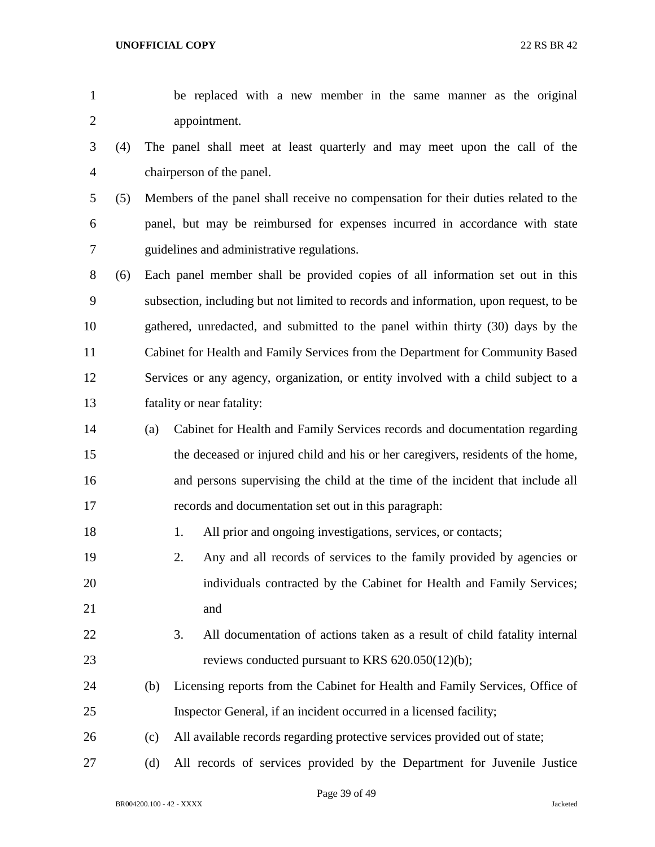be replaced with a new member in the same manner as the original appointment.

- (4) The panel shall meet at least quarterly and may meet upon the call of the chairperson of the panel.
- (5) Members of the panel shall receive no compensation for their duties related to the panel, but may be reimbursed for expenses incurred in accordance with state guidelines and administrative regulations.

 (6) Each panel member shall be provided copies of all information set out in this subsection, including but not limited to records and information, upon request, to be gathered, unredacted, and submitted to the panel within thirty (30) days by the Cabinet for Health and Family Services from the Department for Community Based Services or any agency, organization, or entity involved with a child subject to a fatality or near fatality:

- (a) Cabinet for Health and Family Services records and documentation regarding the deceased or injured child and his or her caregivers, residents of the home, and persons supervising the child at the time of the incident that include all records and documentation set out in this paragraph:
- 18 1. All prior and ongoing investigations, services, or contacts;
- 2. Any and all records of services to the family provided by agencies or individuals contracted by the Cabinet for Health and Family Services; and
- 3. All documentation of actions taken as a result of child fatality internal reviews conducted pursuant to KRS 620.050(12)(b);
- (b) Licensing reports from the Cabinet for Health and Family Services, Office of Inspector General, if an incident occurred in a licensed facility;
- (c) All available records regarding protective services provided out of state;
- (d) All records of services provided by the Department for Juvenile Justice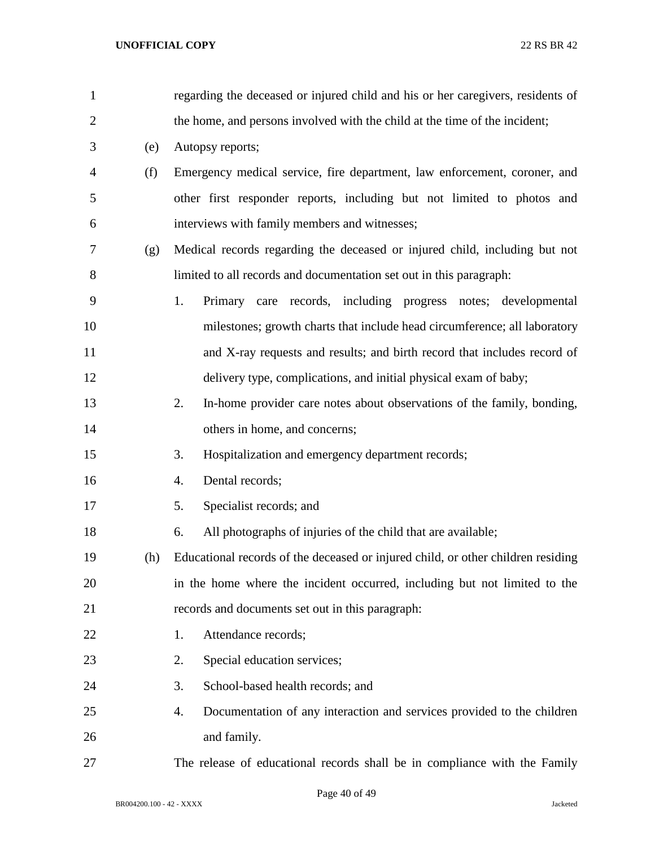| $\mathbf{1}$   |     | regarding the deceased or injured child and his or her caregivers, residents of  |
|----------------|-----|----------------------------------------------------------------------------------|
| $\overline{2}$ |     | the home, and persons involved with the child at the time of the incident;       |
| 3              | (e) | Autopsy reports;                                                                 |
| 4              | (f) | Emergency medical service, fire department, law enforcement, coroner, and        |
| 5              |     | other first responder reports, including but not limited to photos and           |
| 6              |     | interviews with family members and witnesses;                                    |
| 7              | (g) | Medical records regarding the deceased or injured child, including but not       |
| 8              |     | limited to all records and documentation set out in this paragraph:              |
| 9              |     | 1.<br>Primary care records, including progress notes; developmental              |
| 10             |     | milestones; growth charts that include head circumference; all laboratory        |
| 11             |     | and X-ray requests and results; and birth record that includes record of         |
| 12             |     | delivery type, complications, and initial physical exam of baby;                 |
| 13             |     | 2.<br>In-home provider care notes about observations of the family, bonding,     |
| 14             |     | others in home, and concerns;                                                    |
| 15             |     | 3.<br>Hospitalization and emergency department records;                          |
| 16             |     | Dental records;<br>4.                                                            |
| 17             |     | Specialist records; and<br>5.                                                    |
| 18             |     | All photographs of injuries of the child that are available;<br>6.               |
| 19             | (h) | Educational records of the deceased or injured child, or other children residing |
| 20             |     | in the home where the incident occurred, including but not limited to the        |
| 21             |     | records and documents set out in this paragraph:                                 |
| 22             |     | Attendance records;<br>1.                                                        |
| 23             |     | Special education services;<br>2.                                                |
| 24             |     | School-based health records; and<br>3.                                           |
| 25             |     | Documentation of any interaction and services provided to the children<br>4.     |
| 26             |     | and family.                                                                      |
| 27             |     | The release of educational records shall be in compliance with the Family        |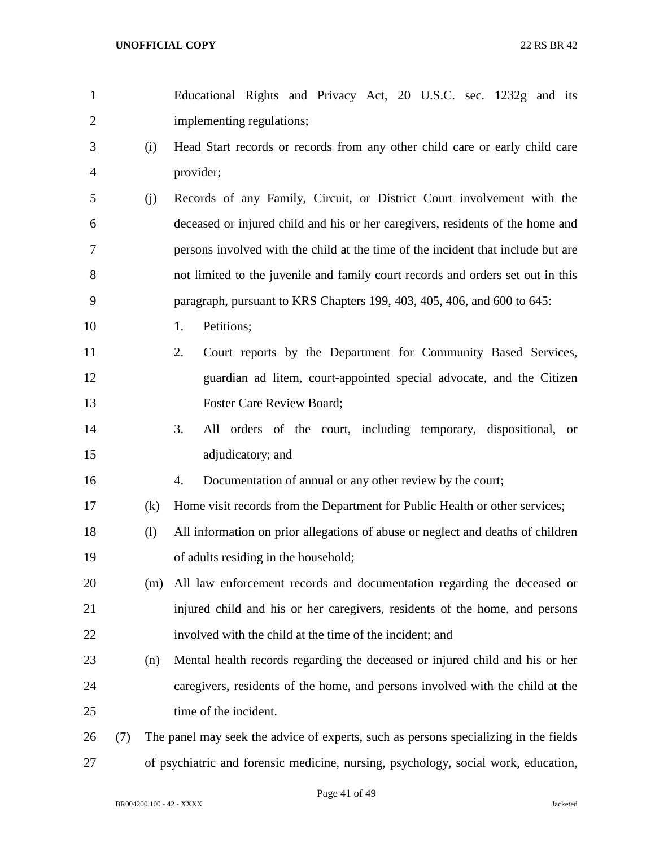Educational Rights and Privacy Act, 20 U.S.C. sec. 1232g and its implementing regulations; (i) Head Start records or records from any other child care or early child care provider; (j) Records of any Family, Circuit, or District Court involvement with the deceased or injured child and his or her caregivers, residents of the home and persons involved with the child at the time of the incident that include but are not limited to the juvenile and family court records and orders set out in this paragraph, pursuant to KRS Chapters 199, 403, 405, 406, and 600 to 645: 10 1. Petitions; 2. Court reports by the Department for Community Based Services, guardian ad litem, court-appointed special advocate, and the Citizen Foster Care Review Board; 3. All orders of the court, including temporary, dispositional, or adjudicatory; and 4. Documentation of annual or any other review by the court; (k) Home visit records from the Department for Public Health or other services; (l) All information on prior allegations of abuse or neglect and deaths of children of adults residing in the household; (m) All law enforcement records and documentation regarding the deceased or injured child and his or her caregivers, residents of the home, and persons involved with the child at the time of the incident; and (n) Mental health records regarding the deceased or injured child and his or her caregivers, residents of the home, and persons involved with the child at the 25 time of the incident. (7) The panel may seek the advice of experts, such as persons specializing in the fields of psychiatric and forensic medicine, nursing, psychology, social work, education,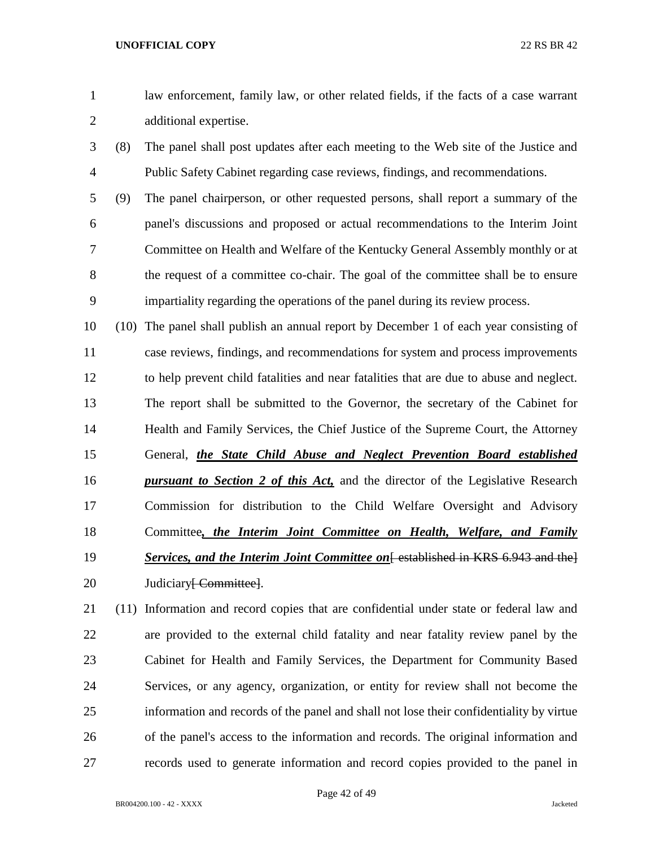- law enforcement, family law, or other related fields, if the facts of a case warrant additional expertise.
- (8) The panel shall post updates after each meeting to the Web site of the Justice and Public Safety Cabinet regarding case reviews, findings, and recommendations.
- (9) The panel chairperson, or other requested persons, shall report a summary of the panel's discussions and proposed or actual recommendations to the Interim Joint Committee on Health and Welfare of the Kentucky General Assembly monthly or at the request of a committee co-chair. The goal of the committee shall be to ensure impartiality regarding the operations of the panel during its review process.
- (10) The panel shall publish an annual report by December 1 of each year consisting of case reviews, findings, and recommendations for system and process improvements to help prevent child fatalities and near fatalities that are due to abuse and neglect. The report shall be submitted to the Governor, the secretary of the Cabinet for Health and Family Services, the Chief Justice of the Supreme Court, the Attorney General, *the State Child Abuse and Neglect Prevention Board established pursuant to Section 2 of this Act,* and the director of the Legislative Research Commission for distribution to the Child Welfare Oversight and Advisory Committee*, the Interim Joint Committee on Health, Welfare, and Family*  **Services, and the Interim Joint Committee on** [ established in KRS 6.943 and the ] 20 Judiciary<del>[ Committee]</del>.
- (11) Information and record copies that are confidential under state or federal law and are provided to the external child fatality and near fatality review panel by the Cabinet for Health and Family Services, the Department for Community Based Services, or any agency, organization, or entity for review shall not become the information and records of the panel and shall not lose their confidentiality by virtue of the panel's access to the information and records. The original information and records used to generate information and record copies provided to the panel in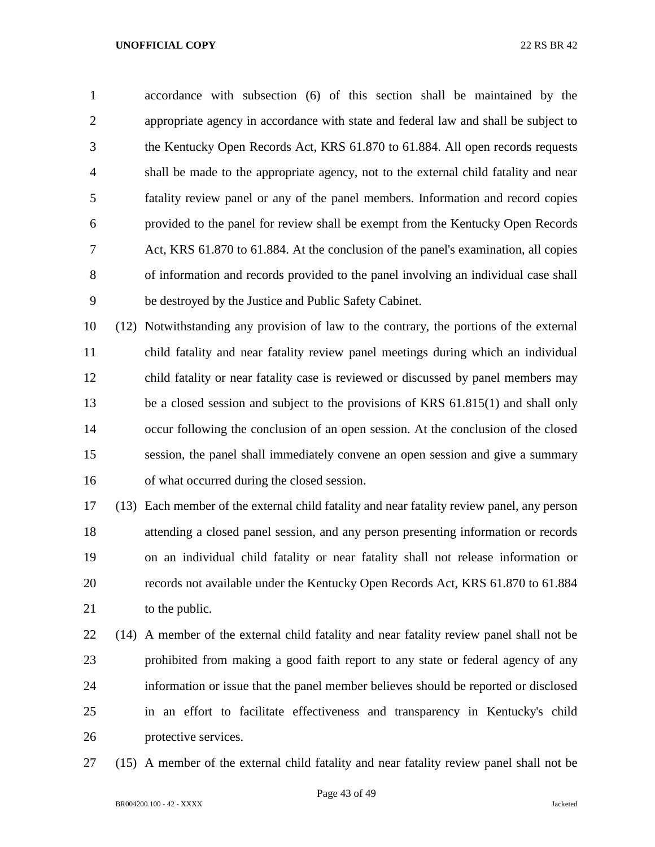accordance with subsection (6) of this section shall be maintained by the appropriate agency in accordance with state and federal law and shall be subject to the Kentucky Open Records Act, KRS 61.870 to 61.884. All open records requests shall be made to the appropriate agency, not to the external child fatality and near fatality review panel or any of the panel members. Information and record copies provided to the panel for review shall be exempt from the Kentucky Open Records Act, KRS 61.870 to 61.884. At the conclusion of the panel's examination, all copies of information and records provided to the panel involving an individual case shall be destroyed by the Justice and Public Safety Cabinet.

 (12) Notwithstanding any provision of law to the contrary, the portions of the external child fatality and near fatality review panel meetings during which an individual child fatality or near fatality case is reviewed or discussed by panel members may be a closed session and subject to the provisions of KRS 61.815(1) and shall only occur following the conclusion of an open session. At the conclusion of the closed session, the panel shall immediately convene an open session and give a summary of what occurred during the closed session.

 (13) Each member of the external child fatality and near fatality review panel, any person attending a closed panel session, and any person presenting information or records on an individual child fatality or near fatality shall not release information or records not available under the Kentucky Open Records Act, KRS 61.870 to 61.884 21 to the public.

 (14) A member of the external child fatality and near fatality review panel shall not be prohibited from making a good faith report to any state or federal agency of any information or issue that the panel member believes should be reported or disclosed in an effort to facilitate effectiveness and transparency in Kentucky's child protective services.

(15) A member of the external child fatality and near fatality review panel shall not be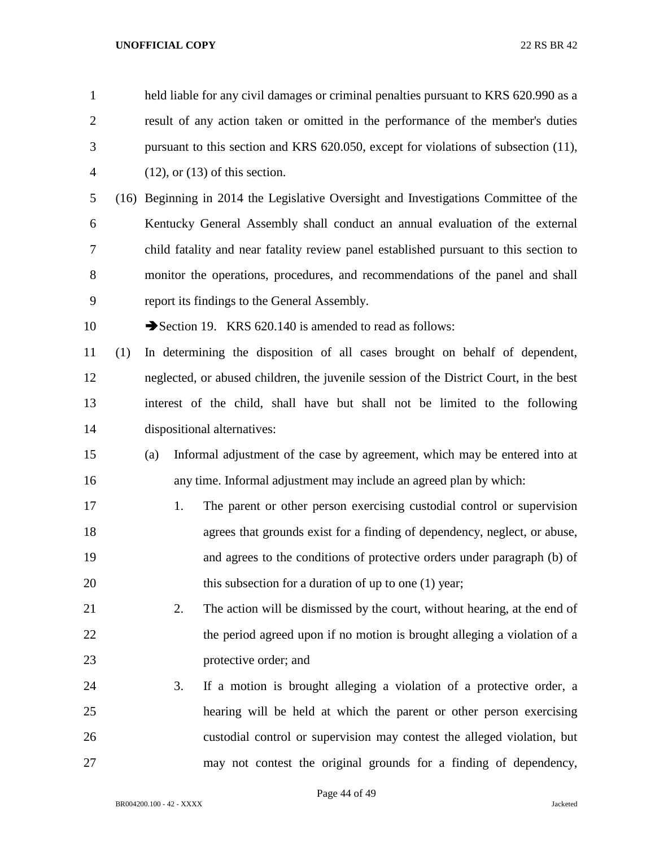| $\mathbf{1}$   |     |     | held liable for any civil damages or criminal penalties pursuant to KRS 620.990 as a   |  |  |  |  |  |
|----------------|-----|-----|----------------------------------------------------------------------------------------|--|--|--|--|--|
| $\overline{2}$ |     |     | result of any action taken or omitted in the performance of the member's duties        |  |  |  |  |  |
| 3              |     |     | pursuant to this section and KRS 620.050, except for violations of subsection (11),    |  |  |  |  |  |
| $\overline{4}$ |     |     | $(12)$ , or $(13)$ of this section.                                                    |  |  |  |  |  |
| 5              |     |     | (16) Beginning in 2014 the Legislative Oversight and Investigations Committee of the   |  |  |  |  |  |
| 6              |     |     | Kentucky General Assembly shall conduct an annual evaluation of the external           |  |  |  |  |  |
| 7              |     |     | child fatality and near fatality review panel established pursuant to this section to  |  |  |  |  |  |
| 8              |     |     | monitor the operations, procedures, and recommendations of the panel and shall         |  |  |  |  |  |
| 9              |     |     | report its findings to the General Assembly.                                           |  |  |  |  |  |
| 10             |     |     | Section 19. KRS 620.140 is amended to read as follows:                                 |  |  |  |  |  |
| 11             | (1) |     | In determining the disposition of all cases brought on behalf of dependent,            |  |  |  |  |  |
| 12             |     |     | neglected, or abused children, the juvenile session of the District Court, in the best |  |  |  |  |  |
| 13             |     |     | interest of the child, shall have but shall not be limited to the following            |  |  |  |  |  |
| 14             |     |     | dispositional alternatives:                                                            |  |  |  |  |  |
| 15             |     | (a) | Informal adjustment of the case by agreement, which may be entered into at             |  |  |  |  |  |
| 16             |     |     | any time. Informal adjustment may include an agreed plan by which:                     |  |  |  |  |  |
| 17             |     | 1.  | The parent or other person exercising custodial control or supervision                 |  |  |  |  |  |
| 18             |     |     | agrees that grounds exist for a finding of dependency, neglect, or abuse,              |  |  |  |  |  |
| 19             |     |     | and agrees to the conditions of protective orders under paragraph (b) of               |  |  |  |  |  |
| 20             |     |     | this subsection for a duration of up to one $(1)$ year;                                |  |  |  |  |  |
| 21             |     | 2.  | The action will be dismissed by the court, without hearing, at the end of              |  |  |  |  |  |
| 22             |     |     | the period agreed upon if no motion is brought alleging a violation of a               |  |  |  |  |  |
| 23             |     |     | protective order; and                                                                  |  |  |  |  |  |
| 24             |     | 3.  | If a motion is brought alleging a violation of a protective order, a                   |  |  |  |  |  |
| 25             |     |     | hearing will be held at which the parent or other person exercising                    |  |  |  |  |  |
| 26             |     |     | custodial control or supervision may contest the alleged violation, but                |  |  |  |  |  |
| 27             |     |     | may not contest the original grounds for a finding of dependency,                      |  |  |  |  |  |

Page 44 of 49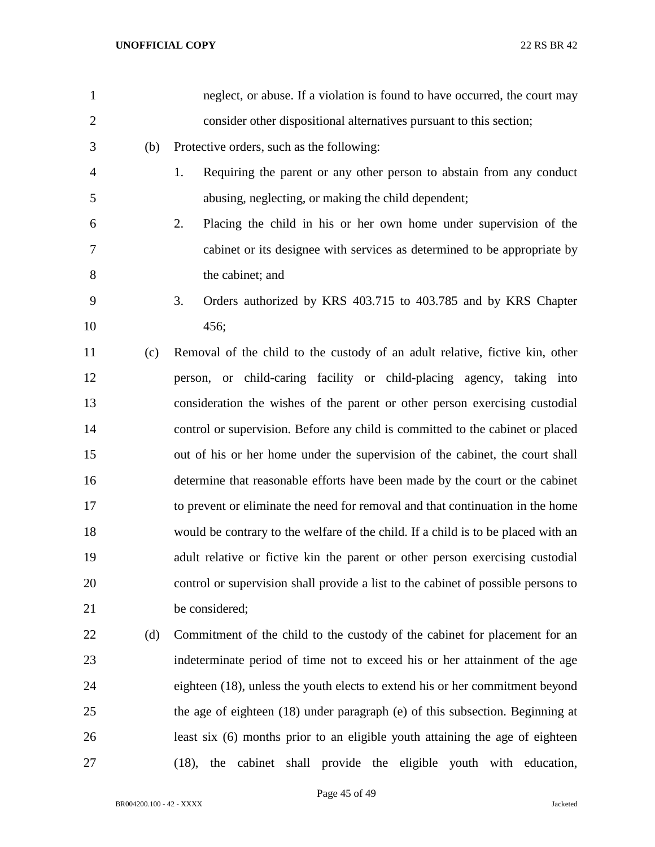| $\mathbf{1}$   |     | neglect, or abuse. If a violation is found to have occurred, the court may        |
|----------------|-----|-----------------------------------------------------------------------------------|
| $\overline{2}$ |     | consider other dispositional alternatives pursuant to this section;               |
| 3              | (b) | Protective orders, such as the following:                                         |
| $\overline{4}$ |     | Requiring the parent or any other person to abstain from any conduct<br>1.        |
| 5              |     | abusing, neglecting, or making the child dependent;                               |
| 6              |     | Placing the child in his or her own home under supervision of the<br>2.           |
| 7              |     | cabinet or its designee with services as determined to be appropriate by          |
| 8              |     | the cabinet; and                                                                  |
| 9              |     | 3.<br>Orders authorized by KRS 403.715 to 403.785 and by KRS Chapter              |
| 10             |     | 456;                                                                              |
| 11             | (c) | Removal of the child to the custody of an adult relative, fictive kin, other      |
| 12             |     | person, or child-caring facility or child-placing agency, taking into             |
| 13             |     | consideration the wishes of the parent or other person exercising custodial       |
| 14             |     | control or supervision. Before any child is committed to the cabinet or placed    |
| 15             |     | out of his or her home under the supervision of the cabinet, the court shall      |
| 16             |     | determine that reasonable efforts have been made by the court or the cabinet      |
| 17             |     | to prevent or eliminate the need for removal and that continuation in the home    |
| 18             |     | would be contrary to the welfare of the child. If a child is to be placed with an |
| 19             |     | adult relative or fictive kin the parent or other person exercising custodial     |
| 20             |     | control or supervision shall provide a list to the cabinet of possible persons to |
| 21             |     | be considered;                                                                    |
| 22             | (d) | Commitment of the child to the custody of the cabinet for placement for an        |
| 23             |     | indeterminate period of time not to exceed his or her attainment of the age       |
| 24             |     | eighteen (18), unless the youth elects to extend his or her commitment beyond     |
| 25             |     | the age of eighteen (18) under paragraph (e) of this subsection. Beginning at     |
| 26             |     | least six (6) months prior to an eligible youth attaining the age of eighteen     |
| 27             |     | (18), the cabinet shall provide the eligible youth with education,                |

Page 45 of 49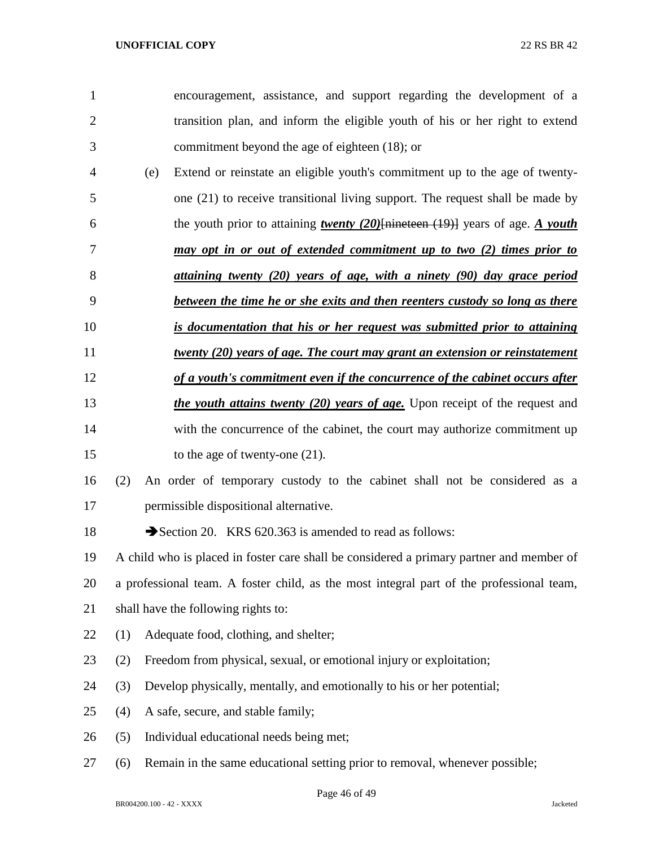| $\mathbf{1}$   |     | encouragement, assistance, and support regarding the development of a                    |
|----------------|-----|------------------------------------------------------------------------------------------|
| $\overline{2}$ |     | transition plan, and inform the eligible youth of his or her right to extend             |
| 3              |     | commitment beyond the age of eighteen (18); or                                           |
| 4              | (e) | Extend or reinstate an eligible youth's commitment up to the age of twenty-              |
| 5              |     | one (21) to receive transitional living support. The request shall be made by            |
| 6              |     | the youth prior to attaining <i>twenty</i> (20) [nineteen (19)] years of age. A youth    |
| 7              |     | may opt in or out of extended commitment up to two (2) times prior to                    |
| 8              |     | attaining twenty (20) years of age, with a ninety (90) day grace period                  |
| 9              |     | between the time he or she exits and then reenters custody so long as there              |
| 10             |     | is documentation that his or her request was submitted prior to attaining                |
| 11             |     | <u>twenty (20) years of age. The court may grant an extension or reinstatement</u>       |
| 12             |     | of a youth's commitment even if the concurrence of the cabinet occurs after              |
| 13             |     | <i>the youth attains twenty (20) years of age</i> . Upon receipt of the request and      |
| 14             |     | with the concurrence of the cabinet, the court may authorize commitment up               |
| 15             |     | to the age of twenty-one $(21)$ .                                                        |
| 16             | (2) | An order of temporary custody to the cabinet shall not be considered as a                |
| 17             |     | permissible dispositional alternative.                                                   |
| 18             |     | Section 20. KRS 620.363 is amended to read as follows:                                   |
| 19             |     | A child who is placed in foster care shall be considered a primary partner and member of |
| 20             |     | a professional team. A foster child, as the most integral part of the professional team, |
| 21             |     | shall have the following rights to:                                                      |
| 22             | (1) | Adequate food, clothing, and shelter;                                                    |
| 23             | (2) | Freedom from physical, sexual, or emotional injury or exploitation;                      |
| 24             | (3) | Develop physically, mentally, and emotionally to his or her potential;                   |
| 25             | (4) | A safe, secure, and stable family;                                                       |
| 26             | (5) | Individual educational needs being met;                                                  |
| 27             | (6) | Remain in the same educational setting prior to removal, whenever possible;              |
|                |     |                                                                                          |

Page 46 of 49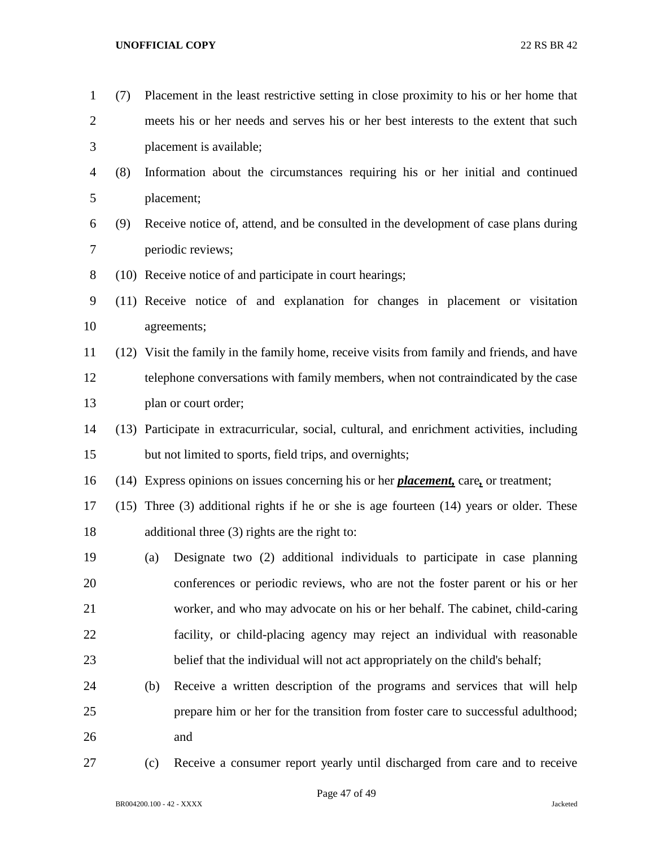| $\mathbf{1}$   | (7)  | Placement in the least restrictive setting in close proximity to his or her home that        |
|----------------|------|----------------------------------------------------------------------------------------------|
| $\overline{2}$ |      | meets his or her needs and serves his or her best interests to the extent that such          |
| 3              |      | placement is available;                                                                      |
| 4              | (8)  | Information about the circumstances requiring his or her initial and continued               |
| 5              |      | placement;                                                                                   |
| 6              | (9)  | Receive notice of, attend, and be consulted in the development of case plans during          |
| 7              |      | periodic reviews;                                                                            |
| $8\,$          |      | (10) Receive notice of and participate in court hearings;                                    |
| $\mathbf{9}$   |      | (11) Receive notice of and explanation for changes in placement or visitation                |
| 10             |      | agreements;                                                                                  |
| 11             |      | (12) Visit the family in the family home, receive visits from family and friends, and have   |
| 12             |      | telephone conversations with family members, when not contraindicated by the case            |
| 13             |      | plan or court order;                                                                         |
| 14             |      | (13) Participate in extracurricular, social, cultural, and enrichment activities, including  |
| 15             |      | but not limited to sports, field trips, and overnights;                                      |
| 16             |      | (14) Express opinions on issues concerning his or her <i>placement</i> , care, or treatment; |
| 17             | (15) | Three $(3)$ additional rights if he or she is age fourteen $(14)$ years or older. These      |
| 18             |      | additional three $(3)$ rights are the right to:                                              |
| 19             |      | Designate two (2) additional individuals to participate in case planning<br>(a)              |
| 20             |      | conferences or periodic reviews, who are not the foster parent or his or her                 |
| 21             |      | worker, and who may advocate on his or her behalf. The cabinet, child-caring                 |
| 22             |      | facility, or child-placing agency may reject an individual with reasonable                   |
| 23             |      | belief that the individual will not act appropriately on the child's behalf;                 |
| 24             |      | Receive a written description of the programs and services that will help<br>(b)             |
| 25             |      | prepare him or her for the transition from foster care to successful adulthood;              |
| 26             |      | and                                                                                          |
| 27             |      | Receive a consumer report yearly until discharged from care and to receive<br>(c)            |

BR004200.100 - 42 - XXXX Jacketed

Page 47 of 49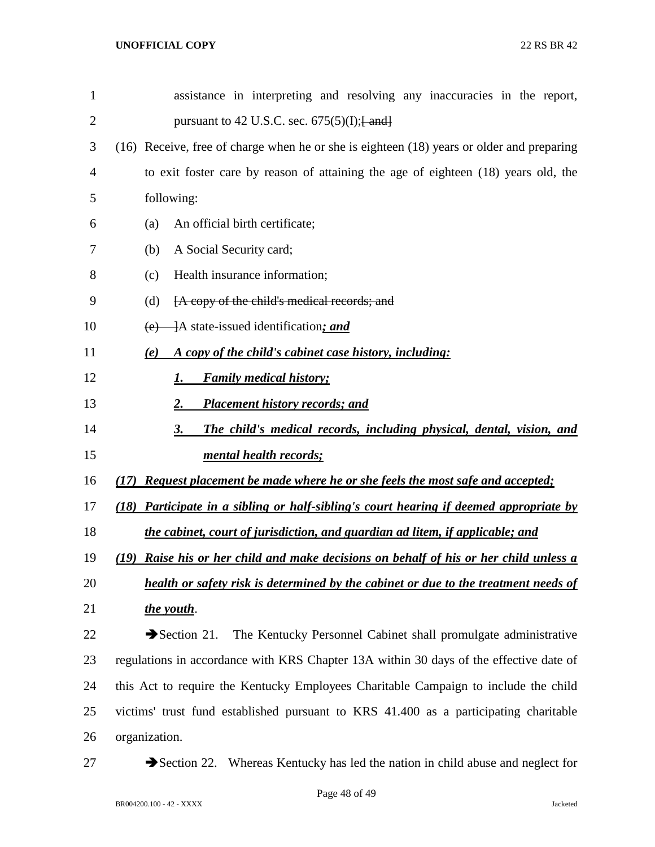| $\mathbf{1}$ | assistance in interpreting and resolving any inaccuracies in the report,                   |
|--------------|--------------------------------------------------------------------------------------------|
| 2            | pursuant to 42 U.S.C. sec. $675(5)(I);$ $\frac{1}{2}$ and $\frac{1}{2}$                    |
| 3            | (16) Receive, free of charge when he or she is eighteen (18) years or older and preparing  |
| 4            | to exit foster care by reason of attaining the age of eighteen (18) years old, the         |
| 5            | following:                                                                                 |
| 6            | An official birth certificate;<br>(a)                                                      |
| 7            | A Social Security card;<br>(b)                                                             |
| 8            | Health insurance information;<br>(c)                                                       |
| 9            | [A copy of the child's medical records; and<br>(d)                                         |
| 10           | $(e)$ ]A state-issued identification; and                                                  |
| 11           | A copy of the child's cabinet case history, including:<br>(e)                              |
| 12           | <b>Family medical history;</b><br>1.                                                       |
| 13           | <b>Placement history records; and</b><br>2.                                                |
| 14           | The child's medical records, including physical, dental, vision, and<br>3.                 |
| 15           | mental health records;                                                                     |
| 16           | <b>Request placement be made where he or she feels the most safe and accepted;</b><br>(17) |
| 17           | Participate in a sibling or half-sibling's court hearing if deemed appropriate by<br>(18)  |
| 18           | the cabinet, court of jurisdiction, and guardian ad litem, if applicable; and              |
| 19           | (19) Raise his or her child and make decisions on behalf of his or her child unless a      |
| 20           | health or safety risk is determined by the cabinet or due to the treatment needs of        |
| 21           | the youth.                                                                                 |
| 22           | The Kentucky Personnel Cabinet shall promulgate administrative<br>Section 21.              |
| 23           | regulations in accordance with KRS Chapter 13A within 30 days of the effective date of     |
| 24           | this Act to require the Kentucky Employees Charitable Campaign to include the child        |
| 25           | victims' trust fund established pursuant to KRS 41.400 as a participating charitable       |
| 26           | organization.                                                                              |

27 Section 22. Whereas Kentucky has led the nation in child abuse and neglect for